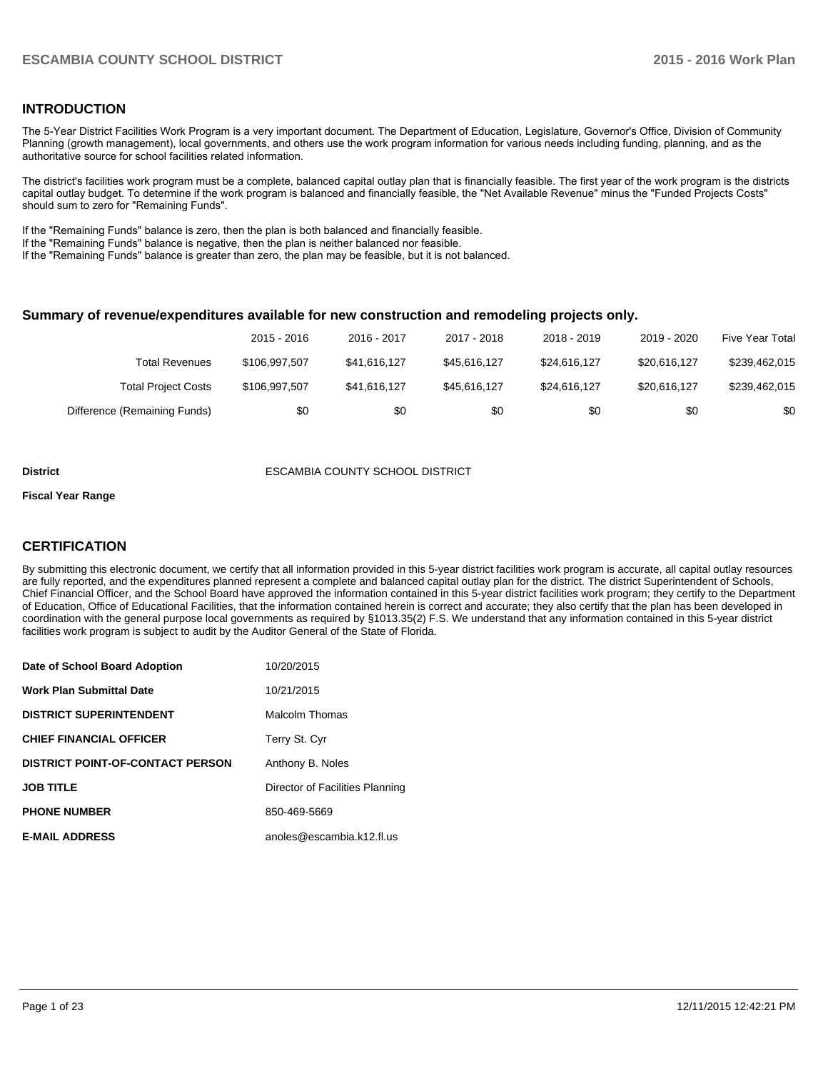## **INTRODUCTION**

The 5-Year District Facilities Work Program is a very important document. The Department of Education, Legislature, Governor's Office, Division of Community Planning (growth management), local governments, and others use the work program information for various needs including funding, planning, and as the authoritative source for school facilities related information.

The district's facilities work program must be a complete, balanced capital outlay plan that is financially feasible. The first year of the work program is the districts capital outlay budget. To determine if the work program is balanced and financially feasible, the "Net Available Revenue" minus the "Funded Projects Costs" should sum to zero for "Remaining Funds".

If the "Remaining Funds" balance is zero, then the plan is both balanced and financially feasible.

If the "Remaining Funds" balance is negative, then the plan is neither balanced nor feasible.

If the "Remaining Funds" balance is greater than zero, the plan may be feasible, but it is not balanced.

#### **Summary of revenue/expenditures available for new construction and remodeling projects only.**

|                              | 2015 - 2016   | 2016 - 2017  | 2017 - 2018  | 2018 - 2019  | 2019 - 2020  | Five Year Total |
|------------------------------|---------------|--------------|--------------|--------------|--------------|-----------------|
| <b>Total Revenues</b>        | \$106.997.507 | \$41.616.127 | \$45.616.127 | \$24.616.127 | \$20,616,127 | \$239,462,015   |
| <b>Total Project Costs</b>   | \$106,997,507 | \$41.616.127 | \$45.616.127 | \$24.616.127 | \$20,616,127 | \$239,462,015   |
| Difference (Remaining Funds) | \$0           | \$0          | \$0          | \$0          | \$0          | \$0             |

#### **District** ESCAMBIA COUNTY SCHOOL DISTRICT

#### **Fiscal Year Range**

# **CERTIFICATION**

By submitting this electronic document, we certify that all information provided in this 5-year district facilities work program is accurate, all capital outlay resources are fully reported, and the expenditures planned represent a complete and balanced capital outlay plan for the district. The district Superintendent of Schools, Chief Financial Officer, and the School Board have approved the information contained in this 5-year district facilities work program; they certify to the Department of Education, Office of Educational Facilities, that the information contained herein is correct and accurate; they also certify that the plan has been developed in coordination with the general purpose local governments as required by §1013.35(2) F.S. We understand that any information contained in this 5-year district facilities work program is subject to audit by the Auditor General of the State of Florida.

| Date of School Board Adoption           | 10/20/2015                      |
|-----------------------------------------|---------------------------------|
| <b>Work Plan Submittal Date</b>         | 10/21/2015                      |
| <b>DISTRICT SUPERINTENDENT</b>          | Malcolm Thomas                  |
| <b>CHIEF FINANCIAL OFFICER</b>          | Terry St. Cyr                   |
| <b>DISTRICT POINT-OF-CONTACT PERSON</b> | Anthony B. Noles                |
| <b>JOB TITLE</b>                        | Director of Facilities Planning |
| <b>PHONE NUMBER</b>                     | 850-469-5669                    |
| <b>E-MAIL ADDRESS</b>                   | anoles@escambia.k12.fl.us       |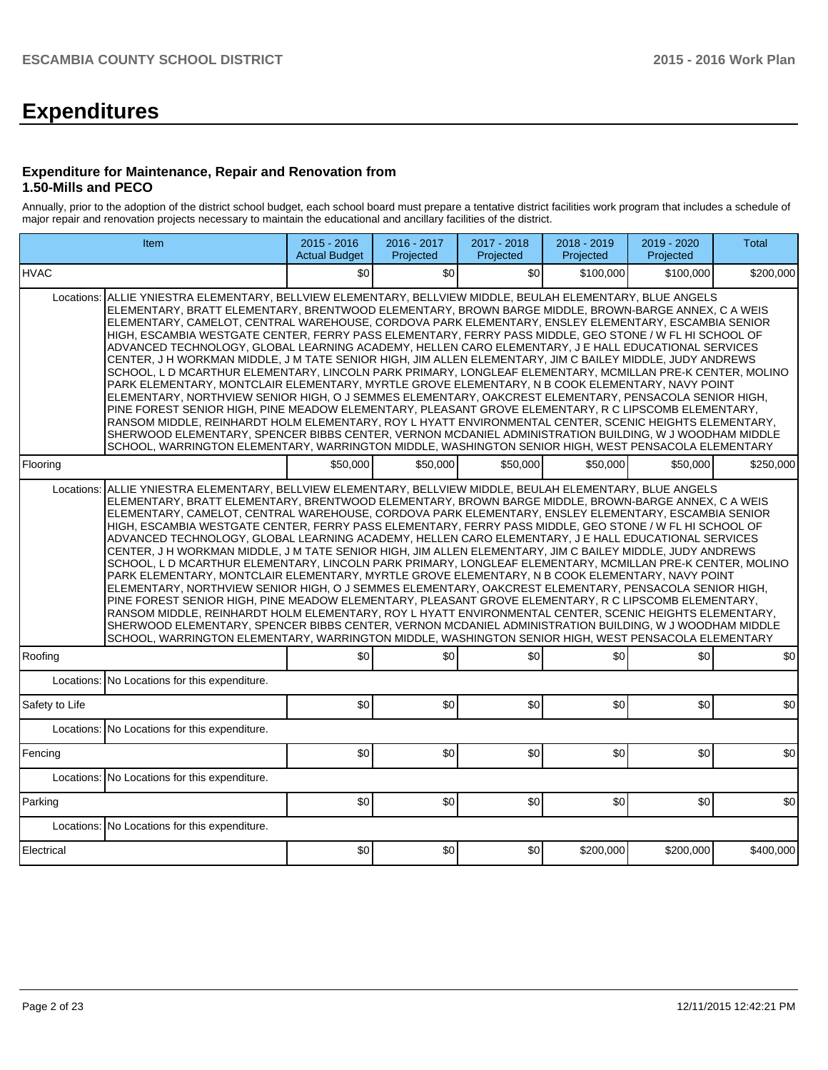# **Expenditures**

### **Expenditure for Maintenance, Repair and Renovation from 1.50-Mills and PECO**

Annually, prior to the adoption of the district school budget, each school board must prepare a tentative district facilities work program that includes a schedule of major repair and renovation projects necessary to maintain the educational and ancillary facilities of the district.

| Item                                                                                                                                                                                                                                                                                                                                                                                                                                                                                                                                                                                                                                                                                                                                                                                                                                                                                                                                                                                                                                                                                                                                                                                                                                                                                                                                                                                                                   | $2015 - 2016$<br><b>Actual Budget</b> | 2016 - 2017<br>Projected | 2017 - 2018<br>Projected | 2018 - 2019<br>Projected | 2019 - 2020<br>Projected | Total     |  |  |  |  |
|------------------------------------------------------------------------------------------------------------------------------------------------------------------------------------------------------------------------------------------------------------------------------------------------------------------------------------------------------------------------------------------------------------------------------------------------------------------------------------------------------------------------------------------------------------------------------------------------------------------------------------------------------------------------------------------------------------------------------------------------------------------------------------------------------------------------------------------------------------------------------------------------------------------------------------------------------------------------------------------------------------------------------------------------------------------------------------------------------------------------------------------------------------------------------------------------------------------------------------------------------------------------------------------------------------------------------------------------------------------------------------------------------------------------|---------------------------------------|--------------------------|--------------------------|--------------------------|--------------------------|-----------|--|--|--|--|
| <b>HVAC</b>                                                                                                                                                                                                                                                                                                                                                                                                                                                                                                                                                                                                                                                                                                                                                                                                                                                                                                                                                                                                                                                                                                                                                                                                                                                                                                                                                                                                            | \$0                                   | \$0                      | \$0                      | \$100,000                | \$100,000                | \$200,000 |  |  |  |  |
| Locations:<br>ALLIE YNIESTRA ELEMENTARY, BELLVIEW ELEMENTARY, BELLVIEW MIDDLE, BEULAH ELEMENTARY, BLUE ANGELS<br>ELEMENTARY, BRATT ELEMENTARY, BRENTWOOD ELEMENTARY, BROWN BARGE MIDDLE, BROWN-BARGE ANNEX, C A WEIS<br>ELEMENTARY, CAMELOT, CENTRAL WAREHOUSE, CORDOVA PARK ELEMENTARY, ENSLEY ELEMENTARY, ESCAMBIA SENIOR<br>HIGH, ESCAMBIA WESTGATE CENTER, FERRY PASS ELEMENTARY, FERRY PASS MIDDLE, GEO STONE / W FL HI SCHOOL OF<br>ADVANCED TECHNOLOGY, GLOBAL LEARNING ACADEMY, HELLEN CARO ELEMENTARY, J E HALL EDUCATIONAL SERVICES<br>CENTER, J H WORKMAN MIDDLE, J M TATE SENIOR HIGH, JIM ALLEN ELEMENTARY, JIM C BAILEY MIDDLE, JUDY ANDREWS<br>SCHOOL. L D MCARTHUR ELEMENTARY. LINCOLN PARK PRIMARY. LONGLEAF ELEMENTARY. MCMILLAN PRE-K CENTER. MOLINO<br>PARK ELEMENTARY, MONTCLAIR ELEMENTARY, MYRTLE GROVE ELEMENTARY, N B COOK ELEMENTARY, NAVY POINT<br>ELEMENTARY, NORTHVIEW SENIOR HIGH, O J SEMMES ELEMENTARY, OAKCREST ELEMENTARY, PENSACOLA SENIOR HIGH,<br>PINE FOREST SENIOR HIGH, PINE MEADOW ELEMENTARY, PLEASANT GROVE ELEMENTARY, R C LIPSCOMB ELEMENTARY,<br>RANSOM MIDDLE, REINHARDT HOLM ELEMENTARY, ROY L HYATT ENVIRONMENTAL CENTER, SCENIC HEIGHTS ELEMENTARY,<br>SHERWOOD ELEMENTARY, SPENCER BIBBS CENTER, VERNON MCDANIEL ADMINISTRATION BUILDING, W J WOODHAM MIDDLE<br>SCHOOL, WARRINGTON ELEMENTARY, WARRINGTON MIDDLE, WASHINGTON SENIOR HIGH, WEST PENSACOLA ELEMENTARY |                                       |                          |                          |                          |                          |           |  |  |  |  |
| Flooring                                                                                                                                                                                                                                                                                                                                                                                                                                                                                                                                                                                                                                                                                                                                                                                                                                                                                                                                                                                                                                                                                                                                                                                                                                                                                                                                                                                                               | \$50,000                              | \$50,000                 | \$50,000                 | \$50,000                 | \$50,000                 | \$250,000 |  |  |  |  |
| Locations:<br>ALLIE YNIESTRA ELEMENTARY, BELLVIEW ELEMENTARY, BELLVIEW MIDDLE, BEULAH ELEMENTARY, BLUE ANGELS<br>ELEMENTARY, BRATT ELEMENTARY, BRENTWOOD ELEMENTARY, BROWN BARGE MIDDLE, BROWN-BARGE ANNEX, C A WEIS<br>ELEMENTARY, CAMELOT, CENTRAL WAREHOUSE, CORDOVA PARK ELEMENTARY, ENSLEY ELEMENTARY, ESCAMBIA SENIOR<br>HIGH, ESCAMBIA WESTGATE CENTER, FERRY PASS ELEMENTARY, FERRY PASS MIDDLE, GEO STONE / W FL HI SCHOOL OF<br>ADVANCED TECHNOLOGY, GLOBAL LEARNING ACADEMY, HELLEN CARO ELEMENTARY, J E HALL EDUCATIONAL SERVICES<br>CENTER, J H WORKMAN MIDDLE, J M TATE SENIOR HIGH, JIM ALLEN ELEMENTARY, JIM C BAILEY MIDDLE, JUDY ANDREWS<br>SCHOOL, L D MCARTHUR ELEMENTARY, LINCOLN PARK PRIMARY, LONGLEAF ELEMENTARY, MCMILLAN PRE-K CENTER, MOLINO<br>PARK ELEMENTARY, MONTCLAIR ELEMENTARY, MYRTLE GROVE ELEMENTARY, N B COOK ELEMENTARY, NAVY POINT<br>ELEMENTARY, NORTHVIEW SENIOR HIGH, O J SEMMES ELEMENTARY, OAKCREST ELEMENTARY, PENSACOLA SENIOR HIGH,<br>PINE FOREST SENIOR HIGH, PINE MEADOW ELEMENTARY, PLEASANT GROVE ELEMENTARY, R C LIPSCOMB ELEMENTARY,<br>RANSOM MIDDLE, REINHARDT HOLM ELEMENTARY, ROY L HYATT ENVIRONMENTAL CENTER, SCENIC HEIGHTS ELEMENTARY,<br>SHERWOOD ELEMENTARY, SPENCER BIBBS CENTER, VERNON MCDANIEL ADMINISTRATION BUILDING, W J WOODHAM MIDDLE<br>SCHOOL, WARRINGTON ELEMENTARY, WARRINGTON MIDDLE, WASHINGTON SENIOR HIGH, WEST PENSACOLA ELEMENTARY |                                       |                          |                          |                          |                          |           |  |  |  |  |
| Roofing                                                                                                                                                                                                                                                                                                                                                                                                                                                                                                                                                                                                                                                                                                                                                                                                                                                                                                                                                                                                                                                                                                                                                                                                                                                                                                                                                                                                                | \$0                                   | \$0                      | \$0                      | \$0                      | \$0                      | \$0       |  |  |  |  |
| No Locations for this expenditure.<br>Locations:                                                                                                                                                                                                                                                                                                                                                                                                                                                                                                                                                                                                                                                                                                                                                                                                                                                                                                                                                                                                                                                                                                                                                                                                                                                                                                                                                                       |                                       |                          |                          |                          |                          |           |  |  |  |  |
| Safety to Life                                                                                                                                                                                                                                                                                                                                                                                                                                                                                                                                                                                                                                                                                                                                                                                                                                                                                                                                                                                                                                                                                                                                                                                                                                                                                                                                                                                                         | \$0                                   | \$0                      | \$0                      | \$0                      | \$0                      | \$0       |  |  |  |  |
| Locations:<br>No Locations for this expenditure.                                                                                                                                                                                                                                                                                                                                                                                                                                                                                                                                                                                                                                                                                                                                                                                                                                                                                                                                                                                                                                                                                                                                                                                                                                                                                                                                                                       |                                       |                          |                          |                          |                          |           |  |  |  |  |
| Fencing                                                                                                                                                                                                                                                                                                                                                                                                                                                                                                                                                                                                                                                                                                                                                                                                                                                                                                                                                                                                                                                                                                                                                                                                                                                                                                                                                                                                                | \$0                                   | \$0                      | 30                       | \$0                      | \$0                      | \$0       |  |  |  |  |
| Locations:<br>No Locations for this expenditure.                                                                                                                                                                                                                                                                                                                                                                                                                                                                                                                                                                                                                                                                                                                                                                                                                                                                                                                                                                                                                                                                                                                                                                                                                                                                                                                                                                       |                                       |                          |                          |                          |                          |           |  |  |  |  |
| Parking                                                                                                                                                                                                                                                                                                                                                                                                                                                                                                                                                                                                                                                                                                                                                                                                                                                                                                                                                                                                                                                                                                                                                                                                                                                                                                                                                                                                                | \$0                                   | \$0                      | \$0                      | \$0                      | \$0                      | \$0       |  |  |  |  |
| Locations:<br>No Locations for this expenditure.                                                                                                                                                                                                                                                                                                                                                                                                                                                                                                                                                                                                                                                                                                                                                                                                                                                                                                                                                                                                                                                                                                                                                                                                                                                                                                                                                                       |                                       |                          |                          |                          |                          |           |  |  |  |  |
| Electrical                                                                                                                                                                                                                                                                                                                                                                                                                                                                                                                                                                                                                                                                                                                                                                                                                                                                                                                                                                                                                                                                                                                                                                                                                                                                                                                                                                                                             | \$0                                   | \$0                      | \$0                      | \$200,000                | \$200,000                | \$400,000 |  |  |  |  |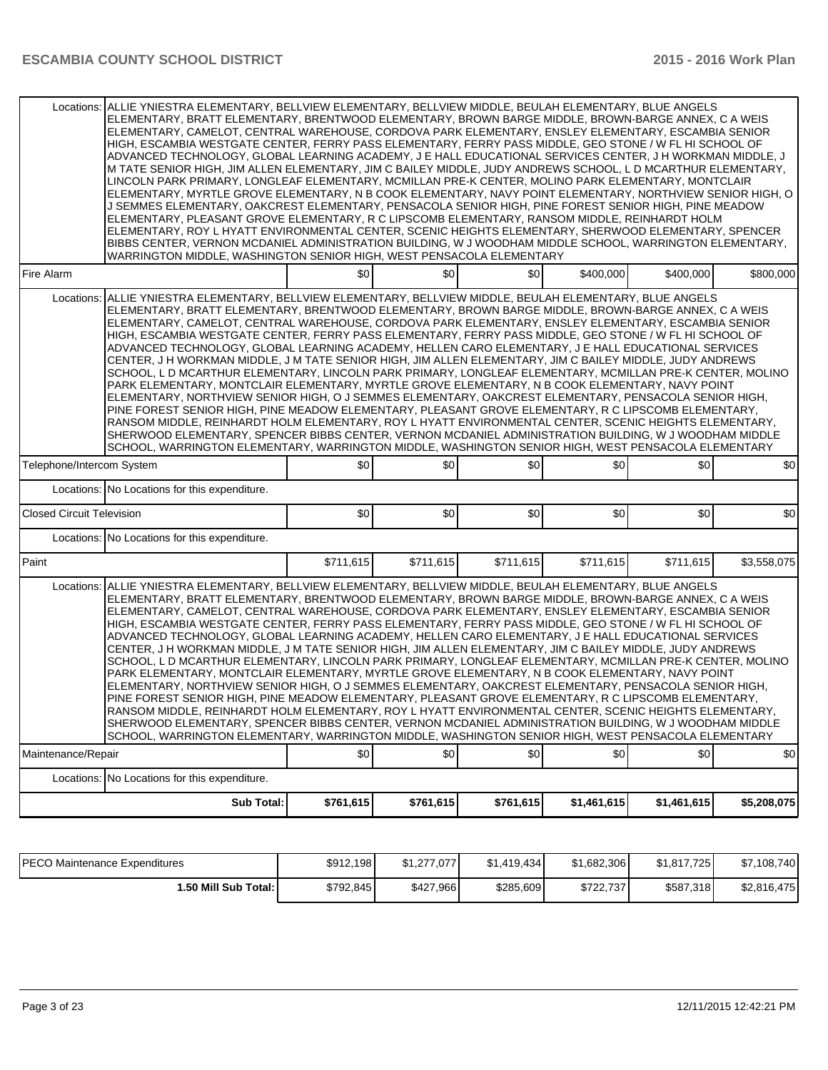|                                  | Locations: ALLIE YNIESTRA ELEMENTARY, BELLVIEW ELEMENTARY, BELLVIEW MIDDLE, BEULAH ELEMENTARY, BLUE ANGELS<br>ELEMENTARY, BRATT ELEMENTARY, BRENTWOOD ELEMENTARY, BROWN BARGE MIDDLE, BROWN-BARGE ANNEX, C A WEIS<br>ELEMENTARY, CAMELOT, CENTRAL WAREHOUSE, CORDOVA PARK ELEMENTARY, ENSLEY ELEMENTARY, ESCAMBIA SENIOR<br>HIIGH. ESCAMBIA WESTGATE CENTER. FERRY PASS ELEMENTARY. FERRY PASS MIDDLE. GEO STONE / W FL HI SCHOOL OF<br>ADVANCED TECHNOLOGY, GLOBAL LEARNING ACADEMY, J E HALL EDUCATIONAL SERVICES CENTER, J H WORKMAN MIDDLE, J<br>M TATE SENIOR HIGH, JIM ALLEN ELEMENTARY, JIM C BAILEY MIDDLE, JUDY ANDREWS SCHOOL, L D MCARTHUR ELEMENTARY,<br>LINCOLN PARK PRIMARY, LONGLEAF ELEMENTARY, MCMILLAN PRE-K CENTER, MOLINO PARK ELEMENTARY, MONTCLAIR<br>ELEMENTARY, MYRTLE GROVE ELEMENTARY, N B COOK ELEMENTARY, NAVY POINT ELEMENTARY, NORTHVIEW SENIOR HIGH, O<br>J SEMMES ELEMENTARY, OAKCREST ELEMENTARY, PENSACOLA SENIOR HIGH, PINE FOREST SENIOR HIGH, PINE MEADOW<br>ELEMENTARY, PLEASANT GROVE ELEMENTARY, R C LIPSCOMB ELEMENTARY, RANSOM MIDDLE, REINHARDT HOLM<br>ELEMENTARY, ROY L HYATT ENVIRONMENTAL CENTER, SCENIC HEIGHTS ELEMENTARY, SHERWOOD ELEMENTARY, SPENCER<br>BIBBS CENTER, VERNON MCDANIEL ADMINISTRATION BUILDING, W J WOODHAM MIDDLE SCHOOL, WARRINGTON ELEMENTARY,<br>WARRINGTON MIDDLE. WASHINGTON SENIOR HIGH. WEST PENSACOLA ELEMENTARY                         |           |           |           |             |             |             |  |  |
|----------------------------------|----------------------------------------------------------------------------------------------------------------------------------------------------------------------------------------------------------------------------------------------------------------------------------------------------------------------------------------------------------------------------------------------------------------------------------------------------------------------------------------------------------------------------------------------------------------------------------------------------------------------------------------------------------------------------------------------------------------------------------------------------------------------------------------------------------------------------------------------------------------------------------------------------------------------------------------------------------------------------------------------------------------------------------------------------------------------------------------------------------------------------------------------------------------------------------------------------------------------------------------------------------------------------------------------------------------------------------------------------------------------------------------------------------------------|-----------|-----------|-----------|-------------|-------------|-------------|--|--|
| Fire Alarm                       |                                                                                                                                                                                                                                                                                                                                                                                                                                                                                                                                                                                                                                                                                                                                                                                                                                                                                                                                                                                                                                                                                                                                                                                                                                                                                                                                                                                                                      | \$0       | \$0       | \$0       | \$400,000   | \$400,000   | \$800,000   |  |  |
| Locations:                       | ALLIE YNIESTRA ELEMENTARY, BELLVIEW ELEMENTARY, BELLVIEW MIDDLE, BEULAH ELEMENTARY, BLUE ANGELS<br>ELEMENTARY, BRATT ELEMENTARY, BRENTWOOD ELEMENTARY, BROWN BARGE MIDDLE, BROWN-BARGE ANNEX, C A WEIS<br>ELEMENTARY, CAMELOT, CENTRAL WAREHOUSE, CORDOVA PARK ELEMENTARY, ENSLEY ELEMENTARY, ESCAMBIA SENIOR<br>HIGH, ESCAMBIA WESTGATE CENTER, FERRY PASS ELEMENTARY, FERRY PASS MIDDLE, GEO STONE / W FL HI SCHOOL OF<br>ADVANCED TECHNOLOGY, GLOBAL LEARNING ACADEMY, HELLEN CARO ELEMENTARY, J E HALL EDUCATIONAL SERVICES<br>CENTER, J H WORKMAN MIDDLE, J M TATE SENIOR HIGH, JIM ALLEN ELEMENTARY, JIM C BAILEY MIDDLE, JUDY ANDREWS<br>SCHOOL, L D MCARTHUR ELEMENTARY, LINCOLN PARK PRIMARY, LONGLEAF ELEMENTARY, MCMILLAN PRE-K CENTER, MOLINO<br>PARK ELEMENTARY, MONTCLAIR ELEMENTARY, MYRTLE GROVE ELEMENTARY, N B COOK ELEMENTARY, NAVY POINT<br>ELEMENTARY, NORTHVIEW SENIOR HIGH, O J SEMMES ELEMENTARY, OAKCREST ELEMENTARY, PENSACOLA SENIOR HIGH,<br>PINE FOREST SENIOR HIGH, PINE MEADOW ELEMENTARY, PLEASANT GROVE ELEMENTARY, R C LIPSCOMB ELEMENTARY,<br>RANSOM MIDDLE, REINHARDT HOLM ELEMENTARY, ROY L HYATT ENVIRONMENTAL CENTER, SCENIC HEIGHTS ELEMENTARY,<br>SHERWOOD ELEMENTARY, SPENCER BIBBS CENTER, VERNON MCDANIEL ADMINISTRATION BUILDING, W J WOODHAM MIDDLE<br>SCHOOL, WARRINGTON ELEMENTARY, WARRINGTON MIDDLE, WASHINGTON SENIOR HIGH, WEST PENSACOLA ELEMENTARY             |           |           |           |             |             |             |  |  |
| Telephone/Intercom System        |                                                                                                                                                                                                                                                                                                                                                                                                                                                                                                                                                                                                                                                                                                                                                                                                                                                                                                                                                                                                                                                                                                                                                                                                                                                                                                                                                                                                                      | \$0       | \$0       | \$0       | \$0         | \$0         | \$0         |  |  |
|                                  | Locations: No Locations for this expenditure.                                                                                                                                                                                                                                                                                                                                                                                                                                                                                                                                                                                                                                                                                                                                                                                                                                                                                                                                                                                                                                                                                                                                                                                                                                                                                                                                                                        |           |           |           |             |             |             |  |  |
| <b>Closed Circuit Television</b> |                                                                                                                                                                                                                                                                                                                                                                                                                                                                                                                                                                                                                                                                                                                                                                                                                                                                                                                                                                                                                                                                                                                                                                                                                                                                                                                                                                                                                      | \$0       | \$0       | \$0       | \$0         | \$0         | \$0         |  |  |
|                                  | Locations: No Locations for this expenditure.                                                                                                                                                                                                                                                                                                                                                                                                                                                                                                                                                                                                                                                                                                                                                                                                                                                                                                                                                                                                                                                                                                                                                                                                                                                                                                                                                                        |           |           |           |             |             |             |  |  |
| Paint                            |                                                                                                                                                                                                                                                                                                                                                                                                                                                                                                                                                                                                                                                                                                                                                                                                                                                                                                                                                                                                                                                                                                                                                                                                                                                                                                                                                                                                                      | \$711,615 | \$711,615 | \$711,615 | \$711,615   | \$711,615   | \$3,558,075 |  |  |
|                                  | Locations: ALLIE YNIESTRA ELEMENTARY, BELLVIEW ELEMENTARY, BELLVIEW MIDDLE, BEULAH ELEMENTARY, BLUE ANGELS<br>ELEMENTARY, BRATT ELEMENTARY, BRENTWOOD ELEMENTARY, BROWN BARGE MIDDLE, BROWN-BARGE ANNEX, C A WEIS<br>ELEMENTARY, CAMELOT, CENTRAL WAREHOUSE, CORDOVA PARK ELEMENTARY, ENSLEY ELEMENTARY, ESCAMBIA SENIOR <br>HIGH, ESCAMBIA WESTGATE CENTER, FERRY PASS ELEMENTARY, FERRY PASS MIDDLE, GEO STONE / W FL HI SCHOOL OF<br>ADVANCED TECHNOLOGY, GLOBAL LEARNING ACADEMY, HELLEN CARO ELEMENTARY, J E HALL EDUCATIONAL SERVICES<br>CENTER, J H WORKMAN MIDDLE, J M TATE SENIOR HIGH, JIM ALLEN ELEMENTARY, JIM C BAILEY MIDDLE, JUDY ANDREWS<br>SCHOOL, L D MCARTHUR ELEMENTARY, LINCOLN PARK PRIMARY, LONGLEAF ELEMENTARY, MCMILLAN PRE-K CENTER, MOLINO<br>PARK ELEMENTARY, MONTCLAIR ELEMENTARY, MYRTLE GROVE ELEMENTARY, N B COOK ELEMENTARY, NAVY POINT<br>ELEMENTARY, NORTHVIEW SENIOR HIGH, O J SEMMES ELEMENTARY, OAKCREST ELEMENTARY, PENSACOLA SENIOR HIGH,<br>PINE FOREST SENIOR HIGH, PINE MEADOW ELEMENTARY, PLEASANT GROVE ELEMENTARY, R C LIPSCOMB ELEMENTARY,<br>RANSOM MIDDLE, REINHARDT HOLM ELEMENTARY, ROY L HYATT ENVIRONMENTAL CENTER, SCENIC HEIGHTS ELEMENTARY,<br>SHERWOOD ELEMENTARY, SPENCER BIBBS CENTER, VERNON MCDANIEL ADMINISTRATION BUILDING, W J WOODHAM MIDDLE<br>SCHOOL, WARRINGTON ELEMENTARY, WARRINGTON MIDDLE, WASHINGTON SENIOR HIGH, WEST PENSACOLA ELEMENTARY |           |           |           |             |             |             |  |  |
| Maintenance/Repair               |                                                                                                                                                                                                                                                                                                                                                                                                                                                                                                                                                                                                                                                                                                                                                                                                                                                                                                                                                                                                                                                                                                                                                                                                                                                                                                                                                                                                                      | \$0       | \$0       | \$0       | \$0         | \$0         | \$0         |  |  |
|                                  | Locations: No Locations for this expenditure.                                                                                                                                                                                                                                                                                                                                                                                                                                                                                                                                                                                                                                                                                                                                                                                                                                                                                                                                                                                                                                                                                                                                                                                                                                                                                                                                                                        |           |           |           |             |             |             |  |  |
|                                  | <b>Sub Total:</b>                                                                                                                                                                                                                                                                                                                                                                                                                                                                                                                                                                                                                                                                                                                                                                                                                                                                                                                                                                                                                                                                                                                                                                                                                                                                                                                                                                                                    | \$761,615 | \$761,615 | \$761,615 | \$1,461,615 | \$1,461,615 | \$5,208,075 |  |  |

| <b>PECO Maintenance Expenditures</b> | \$912,198 | \$1.277.077 | \$1.419.434 | \$1,682,306 | \$1.817.725 | \$7,108,740 |
|--------------------------------------|-----------|-------------|-------------|-------------|-------------|-------------|
| 1.50 Mill Sub Total: I               | \$792,845 | \$427,966   | \$285,609   | \$722.737   | \$587,318   | \$2.816.475 |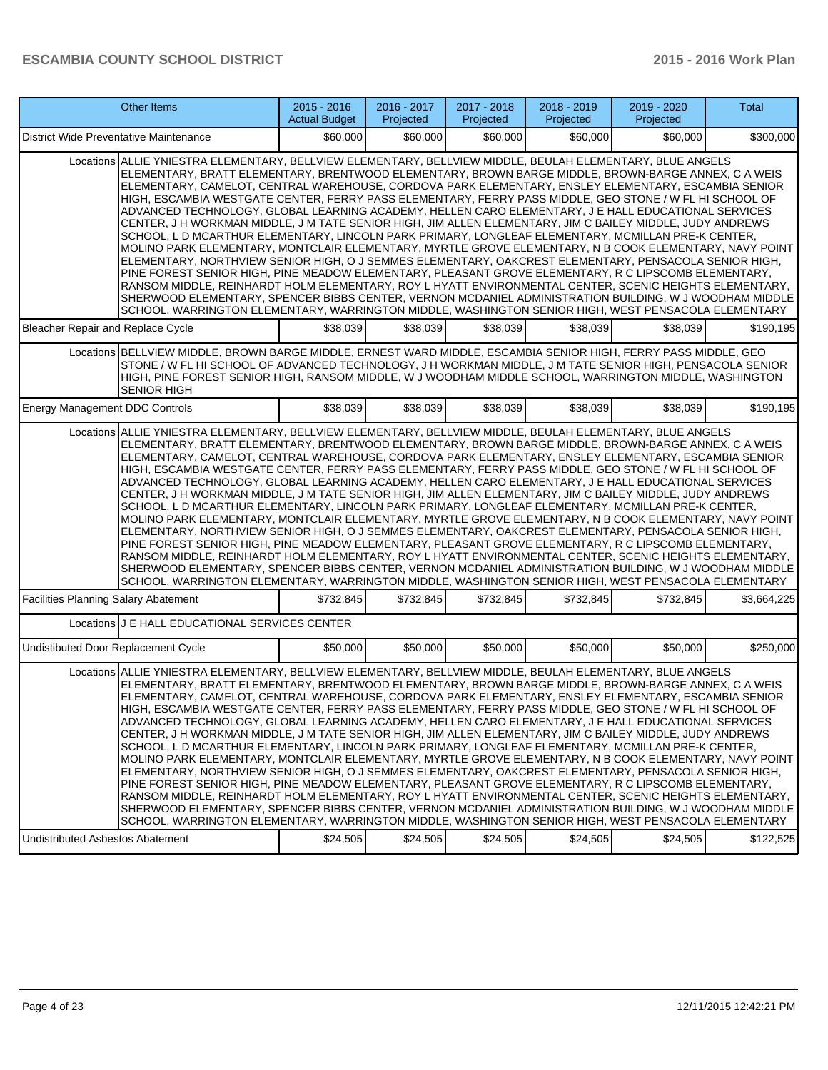|                                             | <b>Other Items</b>                                                                                                                                                                                                                                                                                                                                                                                                                                                                                                                                                                                                                                                                                                                                                                                                                                                                                                                                                                                                                                                                                                                                                                                                                                                                                                                                                                                                 | $2015 - 2016$<br><b>Actual Budget</b> | 2016 - 2017<br>Projected | 2017 - 2018<br>Projected | 2018 - 2019<br>Projected | 2019 - 2020<br>Projected | Total       |  |  |
|---------------------------------------------|--------------------------------------------------------------------------------------------------------------------------------------------------------------------------------------------------------------------------------------------------------------------------------------------------------------------------------------------------------------------------------------------------------------------------------------------------------------------------------------------------------------------------------------------------------------------------------------------------------------------------------------------------------------------------------------------------------------------------------------------------------------------------------------------------------------------------------------------------------------------------------------------------------------------------------------------------------------------------------------------------------------------------------------------------------------------------------------------------------------------------------------------------------------------------------------------------------------------------------------------------------------------------------------------------------------------------------------------------------------------------------------------------------------------|---------------------------------------|--------------------------|--------------------------|--------------------------|--------------------------|-------------|--|--|
| District Wide Preventative Maintenance      |                                                                                                                                                                                                                                                                                                                                                                                                                                                                                                                                                                                                                                                                                                                                                                                                                                                                                                                                                                                                                                                                                                                                                                                                                                                                                                                                                                                                                    | \$60,000                              | \$60,000                 | \$60,000                 | \$60,000                 | \$60,000                 | \$300,000   |  |  |
|                                             | Locations ALLIE YNIESTRA ELEMENTARY, BELLVIEW ELEMENTARY, BELLVIEW MIDDLE, BEULAH ELEMENTARY, BLUE ANGELS<br>ELEMENTARY, BRATT ELEMENTARY, BRENTWOOD ELEMENTARY, BROWN BARGE MIDDLE, BROWN-BARGE ANNEX, C A WEIS<br>ELEMENTARY, CAMELOT, CENTRAL WAREHOUSE, CORDOVA PARK ELEMENTARY, ENSLEY ELEMENTARY, ESCAMBIA SENIOR<br>HIGH, ESCAMBIA WESTGATE CENTER, FERRY PASS ELEMENTARY, FERRY PASS MIDDLE, GEO STONE / W FL HI SCHOOL OF<br>ADVANCED TECHNOLOGY, GLOBAL LEARNING ACADEMY, HELLEN CARO ELEMENTARY, J E HALL EDUCATIONAL SERVICES<br>CENTER, J H WORKMAN MIDDLE, J M TATE SENIOR HIGH, JIM ALLEN ELEMENTARY, JIM C BAILEY MIDDLE, JUDY ANDREWS<br>SCHOOL, L D MCARTHUR ELEMENTARY, LINCOLN PARK PRIMARY, LONGLEAF ELEMENTARY, MCMILLAN PRE-K CENTER,<br>MOLINO PARK ELEMENTARY, MONTCLAIR ELEMENTARY, MYRTLE GROVE ELEMENTARY, N B COOK ELEMENTARY, NAVY POINT<br>ELEMENTARY, NORTHVIEW SENIOR HIGH, O J SEMMES ELEMENTARY, OAKCREST ELEMENTARY, PENSACOLA SENIOR HIGH,<br>PINE FOREST SENIOR HIGH, PINE MEADOW ELEMENTARY, PLEASANT GROVE ELEMENTARY, R C LIPSCOMB ELEMENTARY,<br>RANSOM MIDDLE, REINHARDT HOLM ELEMENTARY, ROY L HYATT ENVIRONMENTAL CENTER, SCENIC HEIGHTS ELEMENTARY,<br>SHERWOOD ELEMENTARY, SPENCER BIBBS CENTER, VERNON MCDANIEL ADMINISTRATION BUILDING, W J WOODHAM MIDDLE<br>SCHOOL, WARRINGTON ELEMENTARY, WARRINGTON MIDDLE, WASHINGTON SENIOR HIGH, WEST PENSACOLA ELEMENTARY |                                       |                          |                          |                          |                          |             |  |  |
| Bleacher Repair and Replace Cycle           |                                                                                                                                                                                                                                                                                                                                                                                                                                                                                                                                                                                                                                                                                                                                                                                                                                                                                                                                                                                                                                                                                                                                                                                                                                                                                                                                                                                                                    | \$38,039                              | \$38,039                 | \$38,039                 | \$38,039                 | \$38,039                 | \$190,195   |  |  |
|                                             | Locations BELLVIEW MIDDLE, BROWN BARGE MIDDLE, ERNEST WARD MIDDLE, ESCAMBIA SENIOR HIGH, FERRY PASS MIDDLE, GEO<br>STONE / W FL HI SCHOOL OF ADVANCED TECHNOLOGY, J H WORKMAN MIDDLE, J M TATE SENIOR HIGH, PENSACOLA SENIOR<br>HIGH, PINE FOREST SENIOR HIGH, RANSOM MIDDLE, W J WOODHAM MIDDLE SCHOOL, WARRINGTON MIDDLE, WASHINGTON<br><b>SENIOR HIGH</b>                                                                                                                                                                                                                                                                                                                                                                                                                                                                                                                                                                                                                                                                                                                                                                                                                                                                                                                                                                                                                                                       |                                       |                          |                          |                          |                          |             |  |  |
| Energy Management DDC Controls              |                                                                                                                                                                                                                                                                                                                                                                                                                                                                                                                                                                                                                                                                                                                                                                                                                                                                                                                                                                                                                                                                                                                                                                                                                                                                                                                                                                                                                    | \$38,039                              | \$38,039                 | \$38,039                 | \$38,039                 | \$38,039                 | \$190,195   |  |  |
|                                             | Locations ALLIE YNIESTRA ELEMENTARY, BELLVIEW ELEMENTARY, BELLVIEW MIDDLE, BEULAH ELEMENTARY, BLUE ANGELS<br>ELEMENTARY, BRATT ELEMENTARY, BRENTWOOD ELEMENTARY, BROWN BARGE MIDDLE, BROWN-BARGE ANNEX, C A WEIS<br>ELEMENTARY, CAMELOT, CENTRAL WAREHOUSE, CORDOVA PARK ELEMENTARY, ENSLEY ELEMENTARY, ESCAMBIA SENIOR<br>HIGH, ESCAMBIA WESTGATE CENTER, FERRY PASS ELEMENTARY, FERRY PASS MIDDLE, GEO STONE / W FL HI SCHOOL OF<br>ADVANCED TECHNOLOGY, GLOBAL LEARNING ACADEMY, HELLEN CARO ELEMENTARY, J E HALL EDUCATIONAL SERVICES<br>CENTER, J H WORKMAN MIDDLE, J M TATE SENIOR HIGH, JIM ALLEN ELEMENTARY, JIM C BAILEY MIDDLE, JUDY ANDREWS<br>SCHOOL, LD MCARTHUR ELEMENTARY, LINCOLN PARK PRIMARY, LONGLEAF ELEMENTARY, MCMILLAN PRE-K CENTER,<br>MOLINO PARK ELEMENTARY, MONTCLAIR ELEMENTARY, MYRTLE GROVE ELEMENTARY, N B COOK ELEMENTARY, NAVY POINT<br>ELEMENTARY, NORTHVIEW SENIOR HIGH, O J SEMMES ELEMENTARY, OAKCREST ELEMENTARY, PENSACOLA SENIOR HIGH,<br>PINE FOREST SENIOR HIGH, PINE MEADOW ELEMENTARY, PLEASANT GROVE ELEMENTARY, R C LIPSCOMB ELEMENTARY,<br>RANSOM MIDDLE, REINHARDT HOLM ELEMENTARY, ROY L HYATT ENVIRONMENTAL CENTER, SCENIC HEIGHTS ELEMENTARY,<br>SHERWOOD ELEMENTARY, SPENCER BIBBS CENTER, VERNON MCDANIEL ADMINISTRATION BUILDING, W J WOODHAM MIDDLE<br>SCHOOL, WARRINGTON ELEMENTARY, WARRINGTON MIDDLE, WASHINGTON SENIOR HIGH, WEST PENSACOLA ELEMENTARY  |                                       |                          |                          |                          |                          |             |  |  |
| <b>Facilities Planning Salary Abatement</b> |                                                                                                                                                                                                                                                                                                                                                                                                                                                                                                                                                                                                                                                                                                                                                                                                                                                                                                                                                                                                                                                                                                                                                                                                                                                                                                                                                                                                                    | \$732,845                             | \$732,845                | \$732,845                | \$732,845                | \$732,845                | \$3,664,225 |  |  |
|                                             | Locations J E HALL EDUCATIONAL SERVICES CENTER                                                                                                                                                                                                                                                                                                                                                                                                                                                                                                                                                                                                                                                                                                                                                                                                                                                                                                                                                                                                                                                                                                                                                                                                                                                                                                                                                                     |                                       |                          |                          |                          |                          |             |  |  |
| Undistibuted Door Replacement Cycle         |                                                                                                                                                                                                                                                                                                                                                                                                                                                                                                                                                                                                                                                                                                                                                                                                                                                                                                                                                                                                                                                                                                                                                                                                                                                                                                                                                                                                                    | \$50,000                              | \$50,000                 | \$50,000                 | \$50,000                 | \$50,000                 | \$250,000   |  |  |
| Undistributed Asbestos Abatement            | Locations ALLIE YNIESTRA ELEMENTARY, BELLVIEW ELEMENTARY, BELLVIEW MIDDLE, BEULAH ELEMENTARY, BLUE ANGELS<br>ELEMENTARY, BRATT ELEMENTARY, BRENTWOOD ELEMENTARY, BROWN BARGE MIDDLE, BROWN-BARGE ANNEX, C A WEIS<br>ELEMENTARY, CAMELOT, CENTRAL WAREHOUSE, CORDOVA PARK ELEMENTARY, ENSLEY ELEMENTARY, ESCAMBIA SENIOR<br>HIGH, ESCAMBIA WESTGATE CENTER, FERRY PASS ELEMENTARY, FERRY PASS MIDDLE, GEO STONE / W FL HI SCHOOL OF<br>ADVANCED TECHNOLOGY, GLOBAL LEARNING ACADEMY, HELLEN CARO ELEMENTARY, J E HALL EDUCATIONAL SERVICES<br>CENTER, J H WORKMAN MIDDLE, J M TATE SENIOR HIGH, JIM ALLEN ELEMENTARY, JIM C BAILEY MIDDLE, JUDY ANDREWS<br>SCHOOL, L D MCARTHUR ELEMENTARY, LINCOLN PARK PRIMARY, LONGLEAF ELEMENTARY, MCMILLAN PRE-K CENTER,<br>MOLINO PARK ELEMENTARY, MONTCLAIR ELEMENTARY, MYRTLE GROVE ELEMENTARY, N B COOK ELEMENTARY, NAVY POINT<br>ELEMENTARY, NORTHVIEW SENIOR HIGH, O J SEMMES ELEMENTARY, OAKCREST ELEMENTARY, PENSACOLA SENIOR HIGH,<br>PINE FOREST SENIOR HIGH, PINE MEADOW ELEMENTARY, PLEASANT GROVE ELEMENTARY, R C LIPSCOMB ELEMENTARY,<br>RANSOM MIDDLE, REINHARDT HOLM ELEMENTARY, ROY L HYATT ENVIRONMENTAL CENTER, SCENIC HEIGHTS ELEMENTARY,<br>SHERWOOD ELEMENTARY, SPENCER BIBBS CENTER, VERNON MCDANIEL ADMINISTRATION BUILDING, W J WOODHAM MIDDLE<br>SCHOOL, WARRINGTON ELEMENTARY, WARRINGTON MIDDLE, WASHINGTON SENIOR HIGH, WEST PENSACOLA ELEMENTARY | \$24,505                              | \$24,505                 | \$24,505                 | \$24,505                 | \$24,505                 | \$122,525   |  |  |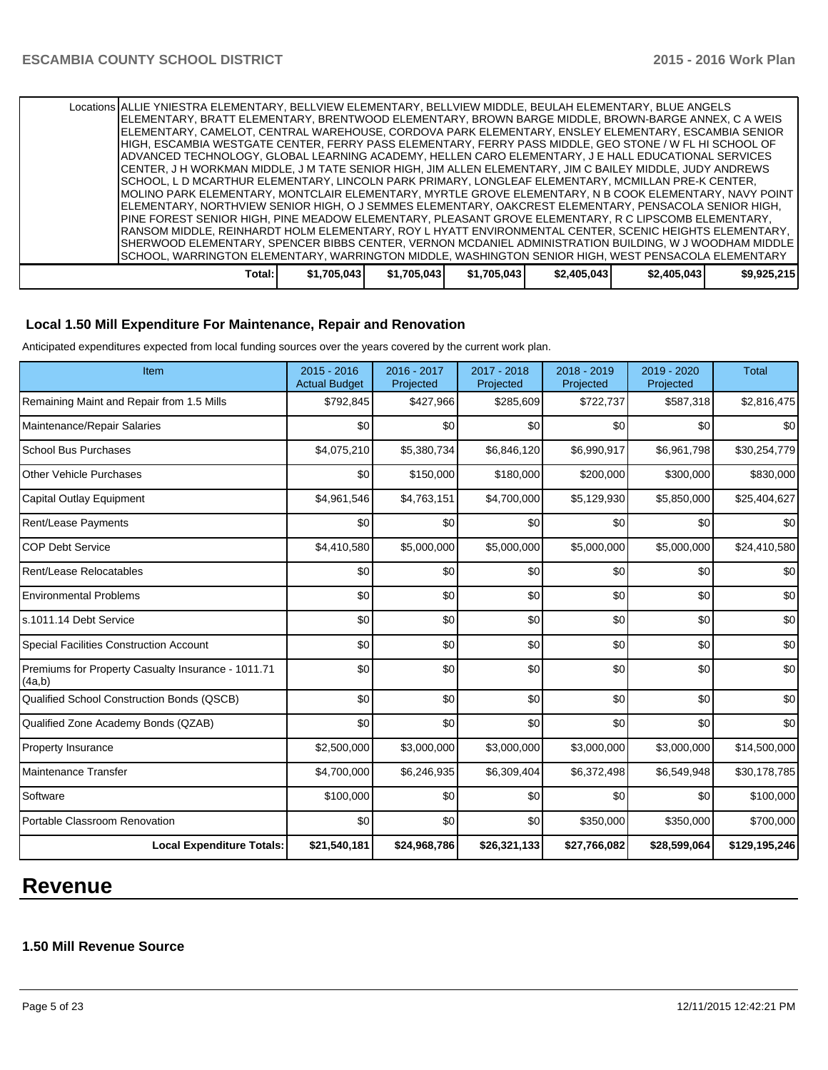| Locations ALLIE YNIESTRA ELEMENTARY. BELLVIEW ELEMENTARY. BELLVIEW MIDDLE. BEULAH ELEMENTARY. BLUE ANGELS |             |             |             |             |             |             |
|-----------------------------------------------------------------------------------------------------------|-------------|-------------|-------------|-------------|-------------|-------------|
| IELEMENTARY. BRATT ELEMENTARY. BRENTWOOD ELEMENTARY. BROWN BARGE MIDDLE. BROWN-BARGE ANNEX. C A WEIS      |             |             |             |             |             |             |
| ELEMENTARY, CAMELOT, CENTRAL WAREHOUSE, CORDOVA PARK ELEMENTARY, ENSLEY ELEMENTARY, ESCAMBIA SENIOR       |             |             |             |             |             |             |
| HIGH, ESCAMBIA WESTGATE CENTER, FERRY PASS ELEMENTARY, FERRY PASS MIDDLE, GEO STONE / W FL HI SCHOOL OF   |             |             |             |             |             |             |
| ADVANCED TECHNOLOGY, GLOBAL LEARNING ACADEMY, HELLEN CARO ELEMENTARY, J E HALL EDUCATIONAL SERVICES       |             |             |             |             |             |             |
| CENTER, J H WORKMAN MIDDLE, J M TATE SENIOR HIGH, JIM ALLEN ELEMENTARY, JIM C BAILEY MIDDLE, JUDY ANDREWS |             |             |             |             |             |             |
| ISCHOOL. L D MCARTHUR ELEMENTARY. LINCOLN PARK PRIMARY. LONGLEAF ELEMENTARY. MCMILLAN PRE-K CENTER.       |             |             |             |             |             |             |
| MOLINO PARK ELEMENTARY, MONTCLAIR ELEMENTARY, MYRTLE GROVE ELEMENTARY, N B COOK ELEMENTARY, NAVY POINT    |             |             |             |             |             |             |
| IELEMENTARY, NORTHVIEW SENIOR HIGH, O J SEMMES ELEMENTARY, OAKCREST ELEMENTARY, PENSACOLA SENIOR HIGH,    |             |             |             |             |             |             |
| PINE FOREST SENIOR HIGH. PINE MEADOW ELEMENTARY. PLEASANT GROVE ELEMENTARY. R C LIPSCOMB ELEMENTARY.      |             |             |             |             |             |             |
| IRANSOM MIDDLE. REINHARDT HOLM ELEMENTARY. ROY L HYATT ENVIRONMENTAL CENTER. SCENIC HEIGHTS ELEMENTARY. . |             |             |             |             |             |             |
| SHERWOOD ELEMENTARY, SPENCER BIBBS CENTER, VERNON MCDANIEL ADMINISTRATION BUILDING, W J WOODHAM MIDDLE    |             |             |             |             |             |             |
| SCHOOL, WARRINGTON ELEMENTARY, WARRINGTON MIDDLE, WASHINGTON SENIOR HIGH, WEST PENSACOLA ELEMENTARY       |             |             |             |             |             |             |
| Total:                                                                                                    | \$1,705,043 | \$1,705,043 | \$1,705,043 | \$2,405,043 | \$2,405,043 | \$9,925,215 |

# **Local 1.50 Mill Expenditure For Maintenance, Repair and Renovation**

Anticipated expenditures expected from local funding sources over the years covered by the current work plan.

| Item                                                         | $2015 - 2016$<br><b>Actual Budget</b> | 2016 - 2017<br>Projected | 2017 - 2018<br>Projected | 2018 - 2019<br>Projected | 2019 - 2020<br>Projected | <b>Total</b>  |
|--------------------------------------------------------------|---------------------------------------|--------------------------|--------------------------|--------------------------|--------------------------|---------------|
| Remaining Maint and Repair from 1.5 Mills                    | \$792,845                             | \$427,966                | \$285,609                | \$722,737                | \$587,318                | \$2,816,475   |
| Maintenance/Repair Salaries                                  | \$0                                   | \$0                      | \$0                      | \$0                      | \$0                      | \$0           |
| <b>School Bus Purchases</b>                                  | \$4,075,210                           | \$5,380,734              | \$6,846,120              | \$6,990,917              | \$6,961,798              | \$30,254,779  |
| <b>Other Vehicle Purchases</b>                               | \$0                                   | \$150,000                | \$180,000                | \$200,000                | \$300,000                | \$830,000     |
| Capital Outlay Equipment                                     | \$4,961,546                           | \$4,763,151              | \$4,700,000              | \$5,129,930              | \$5,850,000              | \$25,404,627  |
| Rent/Lease Payments                                          | \$0                                   | \$0                      | \$0                      | \$0                      | \$0                      | \$0           |
| <b>COP Debt Service</b>                                      | \$4,410,580                           | \$5,000,000              | \$5,000,000              | \$5,000,000              | \$5,000,000              | \$24,410,580  |
| Rent/Lease Relocatables                                      | \$0                                   | \$0                      | \$0                      | \$0                      | \$0                      | \$0           |
| <b>Environmental Problems</b>                                | \$0                                   | \$0                      | \$0                      | \$0                      | \$0                      | \$0           |
| s.1011.14 Debt Service                                       | \$0                                   | \$0                      | \$0                      | \$0                      | \$0                      | \$0           |
| <b>Special Facilities Construction Account</b>               | \$0                                   | \$0                      | \$0                      | \$0                      | \$0                      | \$0           |
| Premiums for Property Casualty Insurance - 1011.71<br>(4a,b) | \$0                                   | \$0                      | \$0                      | \$0                      | \$0                      | \$0           |
| <b>Qualified School Construction Bonds (QSCB)</b>            | \$0                                   | \$0                      | \$0                      | \$0                      | \$0                      | \$0           |
| Qualified Zone Academy Bonds (QZAB)                          | \$0                                   | \$0                      | \$0                      | \$0                      | \$0                      | \$0           |
| Property Insurance                                           | \$2,500,000                           | \$3,000,000              | \$3,000,000              | \$3,000,000              | \$3,000,000              | \$14,500,000  |
| Maintenance Transfer                                         | \$4,700,000                           | \$6,246,935              | \$6,309,404              | \$6,372,498              | \$6,549,948              | \$30,178,785  |
| Software                                                     | \$100,000                             | \$0                      | \$0                      | \$0                      | \$0                      | \$100,000     |
| Portable Classroom Renovation                                | \$0                                   | \$0                      | \$0                      | \$350,000                | \$350,000                | \$700,000     |
| <b>Local Expenditure Totals:</b>                             | \$21,540,181                          | \$24,968,786             | \$26,321,133             | \$27,766,082             | \$28,599,064             | \$129,195,246 |

# **Revenue**

# **1.50 Mill Revenue Source**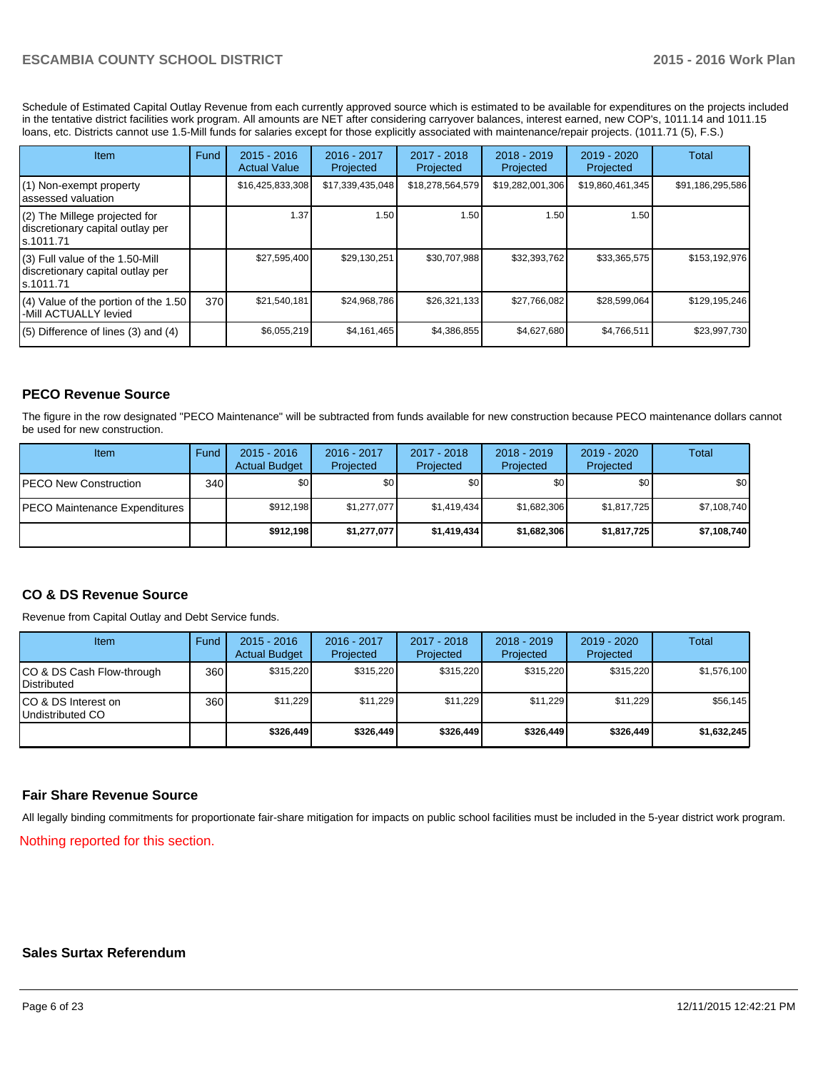Schedule of Estimated Capital Outlay Revenue from each currently approved source which is estimated to be available for expenditures on the projects included in the tentative district facilities work program. All amounts are NET after considering carryover balances, interest earned, new COP's, 1011.14 and 1011.15 loans, etc. Districts cannot use 1.5-Mill funds for salaries except for those explicitly associated with maintenance/repair projects. (1011.71 (5), F.S.)

| <b>Item</b>                                                                         | Fund | $2015 - 2016$<br><b>Actual Value</b> | $2016 - 2017$<br>Projected | $2017 - 2018$<br>Projected | $2018 - 2019$<br>Projected | $2019 - 2020$<br>Projected | Total            |
|-------------------------------------------------------------------------------------|------|--------------------------------------|----------------------------|----------------------------|----------------------------|----------------------------|------------------|
| (1) Non-exempt property<br>lassessed valuation                                      |      | \$16,425,833,308                     | \$17,339,435,048           | \$18,278,564,579           | \$19,282,001,306           | \$19,860,461,345           | \$91,186,295,586 |
| (2) The Millege projected for<br>discretionary capital outlay per<br>ls.1011.71     |      | 1.37                                 | 1.50                       | 1.50                       | 1.50                       | 1.50                       |                  |
| $(3)$ Full value of the 1.50-Mill<br>discretionary capital outlay per<br>ls.1011.71 |      | \$27,595,400                         | \$29.130.251               | \$30,707,988               | \$32,393,762               | \$33,365,575               | \$153,192,976    |
| $(4)$ Value of the portion of the 1.50<br>I-Mill ACTUALLY levied                    | 370  | \$21,540,181                         | \$24.968.786               | \$26,321,133               | \$27,766,082               | \$28,599,064               | \$129,195,246    |
| $(5)$ Difference of lines $(3)$ and $(4)$                                           |      | \$6,055,219                          | \$4,161,465                | \$4,386,855                | \$4,627,680                | \$4,766,511                | \$23,997,730     |

# **PECO Revenue Source**

The figure in the row designated "PECO Maintenance" will be subtracted from funds available for new construction because PECO maintenance dollars cannot be used for new construction.

| Item                                  | Fund | $2015 - 2016$<br><b>Actual Budget</b> | $2016 - 2017$<br>Projected | 2017 - 2018<br>Projected | $2018 - 2019$<br>Projected | $2019 - 2020$<br>Projected | Total       |
|---------------------------------------|------|---------------------------------------|----------------------------|--------------------------|----------------------------|----------------------------|-------------|
| <b>PECO New Construction</b>          | 340  | \$O I                                 | \$0                        | \$0                      | \$0 <sub>0</sub>           | \$0                        | \$0         |
| <b>IPECO Maintenance Expenditures</b> |      | \$912.198                             | \$1,277,077                | \$1.419.434              | \$1,682,306                | \$1,817,725                | \$7,108,740 |
|                                       |      | \$912.198                             | \$1,277,077                | \$1,419,434              | \$1,682,306                | \$1,817,725                | \$7,108,740 |

## **CO & DS Revenue Source**

Revenue from Capital Outlay and Debt Service funds.

| Item                                               | Fund | $2015 - 2016$<br><b>Actual Budget</b> | $2016 - 2017$<br>Projected | 2017 - 2018<br>Projected | $2018 - 2019$<br>Projected | $2019 - 2020$<br>Projected | Total       |
|----------------------------------------------------|------|---------------------------------------|----------------------------|--------------------------|----------------------------|----------------------------|-------------|
| ICO & DS Cash Flow-through<br><b>I</b> Distributed | 360  | \$315.220                             | \$315.220                  | \$315.220                | \$315.220                  | \$315.220                  | \$1,576,100 |
| ICO & DS Interest on<br>Undistributed CO           | 360  | \$11.229                              | \$11,229                   | \$11.229                 | \$11.229                   | \$11.229                   | \$56,145    |
|                                                    |      | \$326,449                             | \$326,449                  | \$326,449                | \$326,449                  | \$326,449                  | \$1,632,245 |

## **Fair Share Revenue Source**

All legally binding commitments for proportionate fair-share mitigation for impacts on public school facilities must be included in the 5-year district work program.

Nothing reported for this section.

#### **Sales Surtax Referendum**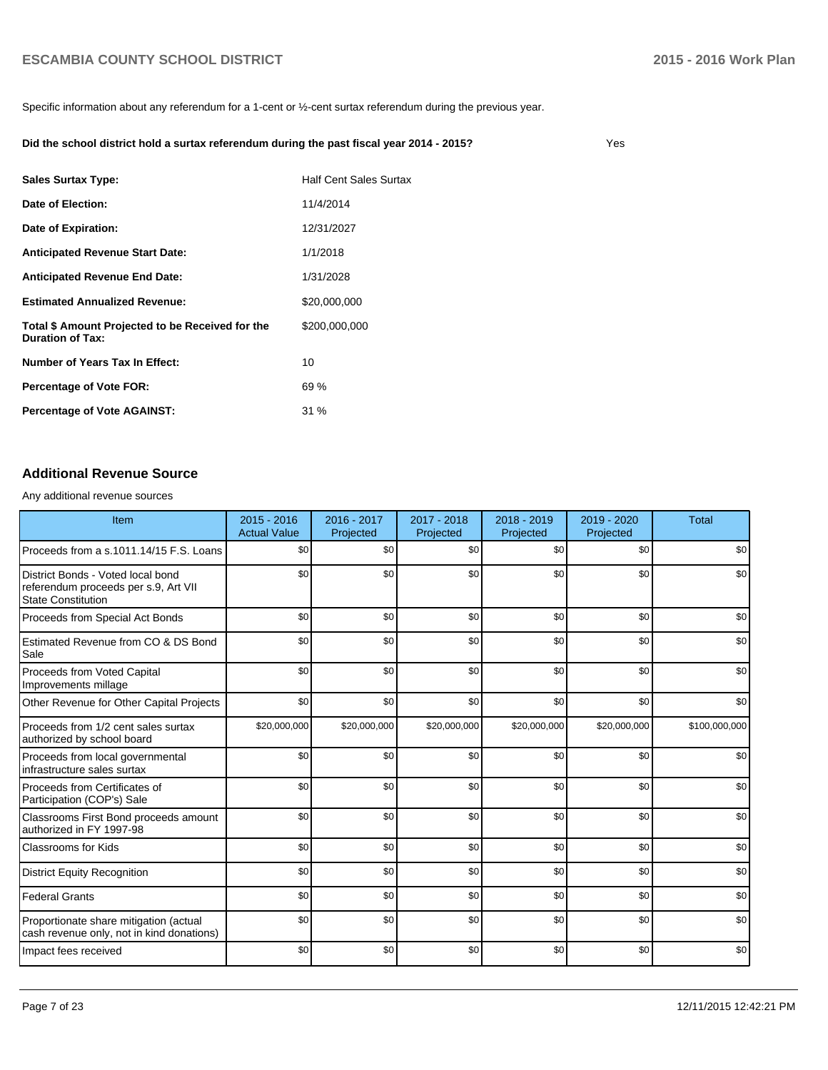Yes

Specific information about any referendum for a 1-cent or ½-cent surtax referendum during the previous year.

#### **Did the school district hold a surtax referendum during the past fiscal year 2014 - 2015?**

**Total \$ Amount Projected to be Received for the Duration of Tax:** \$200,000,000 **Estimated Annualized Revenue:** \$20,000,000 **Number of Years Tax In Effect:** 10 **Percentage of Vote AGAINST:** 31 % **Percentage of Vote FOR:** 69 % **Date of Election:** 11/4/2014 **Sales Surtax Type:** The Manus Control of Half Cent Sales Surtax **Date of Expiration:** 12/31/2027 Anticipated Revenue End Date: 1/31/2028 Anticipated Revenue Start Date: 1/1/2018

# **Additional Revenue Source**

Any additional revenue sources

| Item                                                                                                   | $2015 - 2016$<br><b>Actual Value</b> | 2016 - 2017<br>Projected | $2017 - 2018$<br>Projected | $2018 - 2019$<br>Projected | 2019 - 2020<br>Projected | <b>Total</b>  |
|--------------------------------------------------------------------------------------------------------|--------------------------------------|--------------------------|----------------------------|----------------------------|--------------------------|---------------|
| Proceeds from a s.1011.14/15 F.S. Loans                                                                | \$0                                  | \$0                      | \$0                        | \$0                        | \$0                      | \$0           |
| District Bonds - Voted local bond<br>referendum proceeds per s.9, Art VII<br><b>State Constitution</b> | \$0                                  | \$0                      | \$0                        | \$0                        | \$0                      | \$0           |
| Proceeds from Special Act Bonds                                                                        | \$0                                  | \$0                      | \$0                        | \$0                        | \$0                      | \$0           |
| Estimated Revenue from CO & DS Bond<br>Sale                                                            | \$0                                  | \$0                      | \$0                        | \$0                        | \$0                      | \$0           |
| Proceeds from Voted Capital<br>Improvements millage                                                    | \$0                                  | \$0                      | \$0                        | \$0                        | \$0                      | \$0           |
| Other Revenue for Other Capital Projects                                                               | \$0                                  | \$0                      | \$0                        | \$0                        | \$0                      | \$0           |
| Proceeds from 1/2 cent sales surtax<br>authorized by school board                                      | \$20,000,000                         | \$20,000,000             | \$20,000,000               | \$20,000,000               | \$20,000,000             | \$100,000,000 |
| Proceeds from local governmental<br>infrastructure sales surtax                                        | \$0                                  | \$0                      | \$0                        | \$0                        | \$0                      | \$0           |
| l Proceeds from Certificates of<br>Participation (COP's) Sale                                          | \$0                                  | \$0                      | \$0                        | \$0                        | \$0                      | \$0           |
| Classrooms First Bond proceeds amount<br>authorized in FY 1997-98                                      | \$0                                  | \$0                      | \$0                        | \$0                        | \$0                      | \$0           |
| Classrooms for Kids                                                                                    | \$0                                  | \$0                      | \$0                        | \$0                        | \$0                      | \$0           |
| <b>District Equity Recognition</b>                                                                     | \$0                                  | \$0                      | \$0                        | \$0                        | \$0                      | \$0           |
| <b>Federal Grants</b>                                                                                  | \$0                                  | \$0                      | \$0                        | \$0                        | \$0                      | \$0           |
| Proportionate share mitigation (actual<br>cash revenue only, not in kind donations)                    | \$0                                  | \$0                      | \$0                        | \$0                        | \$0                      | \$0           |
| Impact fees received                                                                                   | \$0                                  | \$0                      | \$0                        | \$0                        | \$0                      | \$0           |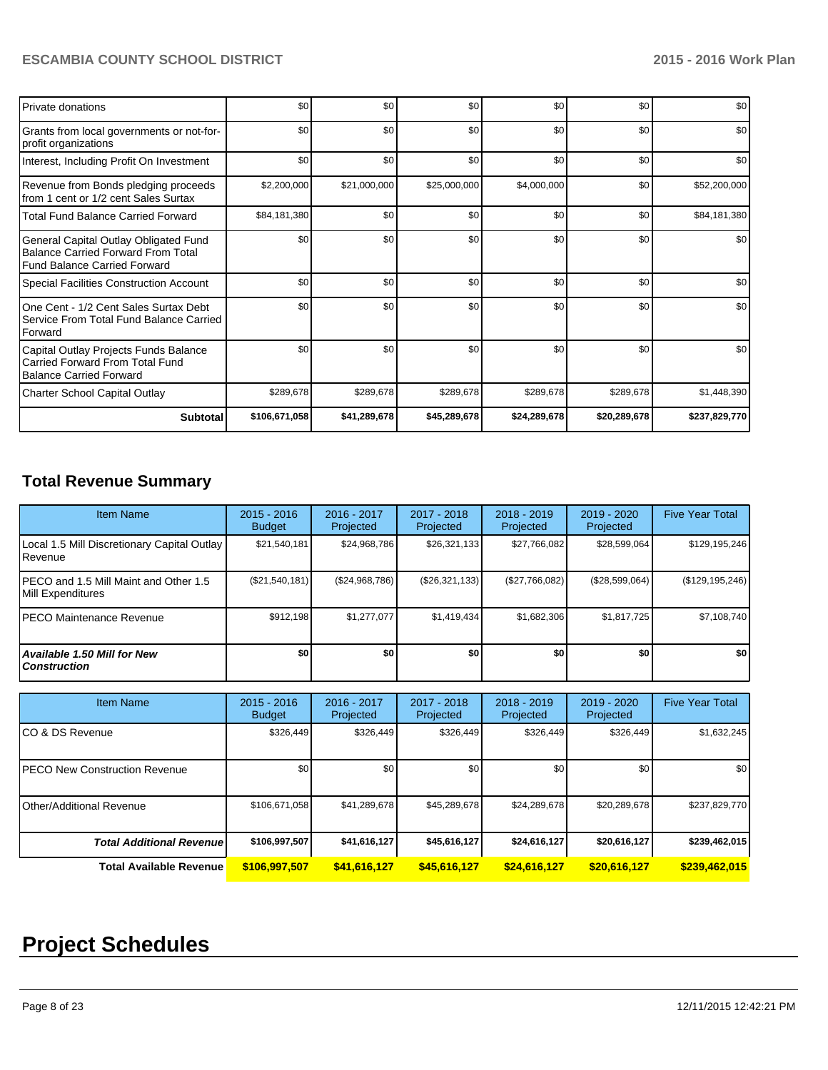| <b>Private donations</b>                                                                                           | \$0           | \$0          | \$0          | \$0          | \$0          | \$0           |
|--------------------------------------------------------------------------------------------------------------------|---------------|--------------|--------------|--------------|--------------|---------------|
| Grants from local governments or not-for-<br>profit organizations                                                  | \$0           | \$0          | \$0          | \$0          | \$0          | \$0           |
| Interest, Including Profit On Investment                                                                           | \$0           | \$0          | \$0          | \$0          | \$0          | \$0           |
| Revenue from Bonds pledging proceeds<br>from 1 cent or 1/2 cent Sales Surtax                                       | \$2,200,000   | \$21,000,000 | \$25,000,000 | \$4,000,000  | \$0          | \$52,200,000  |
| <b>Total Fund Balance Carried Forward</b>                                                                          | \$84,181,380  | \$0          | \$0          | \$0          | \$0          | \$84,181,380  |
| General Capital Outlay Obligated Fund<br><b>Balance Carried Forward From Total</b><br>Fund Balance Carried Forward | \$0           | \$0          | \$0          | \$0          | \$0          | \$0           |
| Special Facilities Construction Account                                                                            | \$0           | \$0          | \$0          | \$0          | \$0          | \$0           |
| One Cent - 1/2 Cent Sales Surtax Debt<br>Service From Total Fund Balance Carried<br>Forward                        | \$0           | \$0          | \$0          | \$0          | \$0          | \$0           |
| Capital Outlay Projects Funds Balance<br>Carried Forward From Total Fund<br><b>Balance Carried Forward</b>         | \$0           | \$0          | \$0          | \$0          | \$0          | \$0           |
| <b>Charter School Capital Outlay</b>                                                                               | \$289,678     | \$289,678    | \$289,678    | \$289,678    | \$289,678    | \$1,448,390   |
| Subtotal                                                                                                           | \$106,671,058 | \$41,289,678 | \$45,289,678 | \$24,289,678 | \$20,289,678 | \$237,829,770 |

# **Total Revenue Summary**

| <b>Item Name</b>                                            | $2015 - 2016$<br><b>Budget</b> | $2016 - 2017$<br>Projected | 2017 - 2018<br>Projected | $2018 - 2019$<br>Projected | 2019 - 2020<br>Projected | <b>Five Year Total</b> |
|-------------------------------------------------------------|--------------------------------|----------------------------|--------------------------|----------------------------|--------------------------|------------------------|
| Local 1.5 Mill Discretionary Capital Outlay<br>l Revenue    | \$21,540,181                   | \$24,968,786               | \$26,321,133             | \$27,766,082               | \$28,599,064             | \$129,195,246          |
| IPECO and 1.5 Mill Maint and Other 1.5<br>Mill Expenditures | (\$21,540,181)                 | (S24, 968, 786)            | (\$26,321,133)           | (\$27,766,082)             | (\$28,599,064)           | (\$129, 195, 246)      |
| IPECO Maintenance Revenue                                   | \$912.198                      | \$1.277.077                | \$1,419,434              | \$1.682.306                | \$1,817,725              | \$7,108,740            |
| <b>Available 1.50 Mill for New</b><br><b>Construction</b>   | \$0                            | \$0                        | \$0                      | \$0                        | \$0                      | \$0                    |

| <b>Item Name</b>                 | $2015 - 2016$<br><b>Budget</b> | 2016 - 2017<br>Projected | 2017 - 2018<br>Projected | $2018 - 2019$<br>Projected | 2019 - 2020<br>Projected | <b>Five Year Total</b> |
|----------------------------------|--------------------------------|--------------------------|--------------------------|----------------------------|--------------------------|------------------------|
| ICO & DS Revenue                 | \$326,449                      | \$326,449                | \$326,449                | \$326,449                  | \$326,449                | \$1,632,245            |
| IPECO New Construction Revenue   | \$0                            | \$0                      | \$0                      | \$0                        | \$0                      | \$0 <sub>1</sub>       |
| Other/Additional Revenue         | \$106,671,058                  | \$41.289.678             | \$45,289,678             | \$24,289,678               | \$20,289,678             | \$237,829,770          |
| <b>Total Additional Revenuel</b> | \$106,997,507                  | \$41,616,127             | \$45,616,127             | \$24,616,127               | \$20,616,127             | \$239,462,015          |
| <b>Total Available Revenue</b>   | \$106,997,507                  | \$41,616,127             | \$45,616,127             | \$24,616,127               | \$20,616,127             | \$239,462,015          |

# **Project Schedules**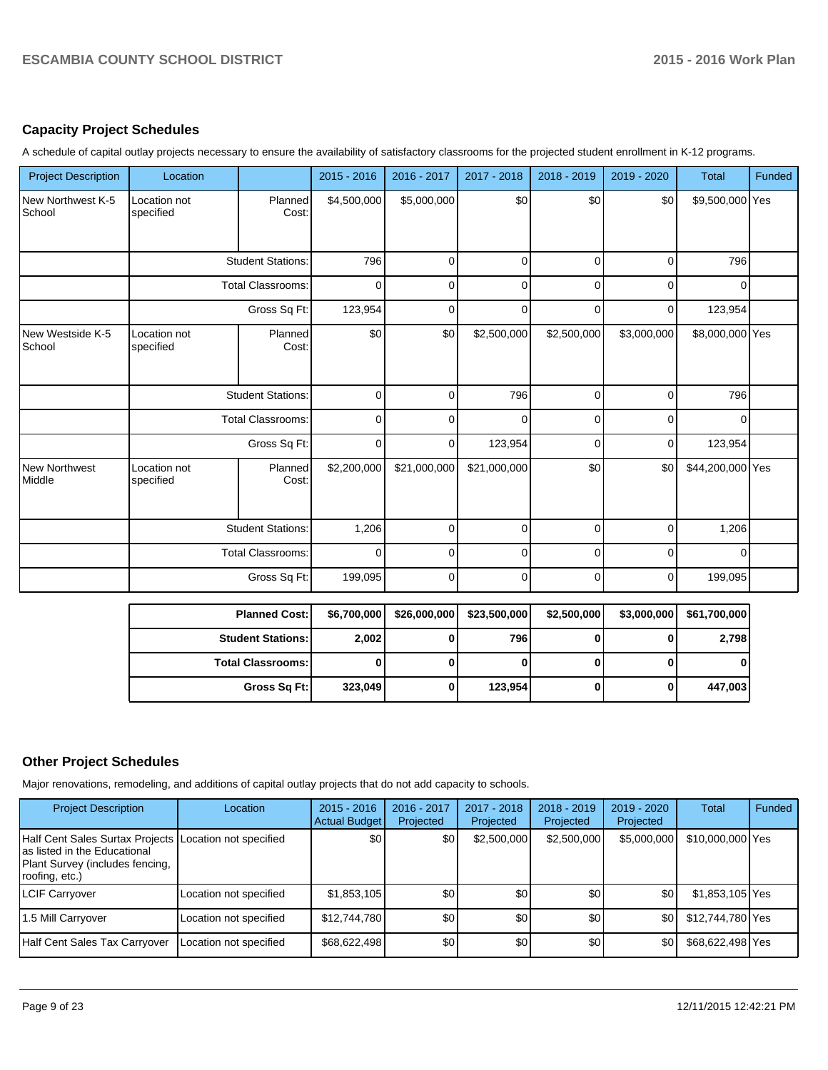# **Capacity Project Schedules**

A schedule of capital outlay projects necessary to ensure the availability of satisfactory classrooms for the projected student enrollment in K-12 programs.

| <b>Project Description</b>     | Location                  |                          | 2015 - 2016 | 2016 - 2017  | 2017 - 2018  | 2018 - 2019 | 2019 - 2020    | <b>Total</b>     | <b>Funded</b> |
|--------------------------------|---------------------------|--------------------------|-------------|--------------|--------------|-------------|----------------|------------------|---------------|
| New Northwest K-5<br>School    | Location not<br>specified | Planned<br>Cost:         | \$4,500,000 | \$5,000,000  | \$0          | \$0         | \$0            | \$9,500,000 Yes  |               |
|                                |                           | <b>Student Stations:</b> | 796         | 0            | $\Omega$     | 0           | 0              | 796              |               |
|                                |                           | <b>Total Classrooms:</b> | 0           | 0            | $\mathbf{0}$ | 0           | 0              | $\Omega$         |               |
|                                |                           | Gross Sq Ft:             | 123,954     | $\Omega$     | $\Omega$     | 0           | $\overline{0}$ | 123,954          |               |
| New Westside K-5<br>School     | Location not<br>specified | Planned<br>Cost:         | \$0         | \$0          | \$2,500,000  | \$2,500,000 | \$3,000,000    | \$8,000,000 Yes  |               |
|                                |                           | <b>Student Stations:</b> | 0           | $\Omega$     | 796          | $\Omega$    | $\mathbf 0$    | 796              |               |
|                                |                           | <b>Total Classrooms:</b> | 0           | O            | $\Omega$     | 0           | $\Omega$       | $\Omega$         |               |
|                                |                           | Gross Sq Ft:             | 0           | 0            | 123,954      | 0           | $\Omega$       | 123,954          |               |
| <b>New Northwest</b><br>Middle | Location not<br>specified | Planned<br>Cost:         | \$2,200,000 | \$21,000,000 | \$21,000,000 | \$0         | \$0            | \$44,200,000 Yes |               |
|                                |                           | <b>Student Stations:</b> | 1,206       | 0            | 0            | $\Omega$    | $\mathbf 0$    | 1,206            |               |
|                                | <b>Total Classrooms:</b>  |                          | 0           | 0            | 0            | $\mathbf 0$ | 0              | 0                |               |
|                                |                           | Gross Sq Ft:             | 199,095     | 0            | $\Omega$     | O           | 0              | 199,095          |               |

| <b>Planned Cost:</b>     | \$6,700,000 | \$26,000,000 | \$23,500,000 | \$2,500,000 | \$3,000,000 | \$61,700,000 |
|--------------------------|-------------|--------------|--------------|-------------|-------------|--------------|
| <b>Student Stations:</b> | 2,002       |              | 796          |             |             | 2,798        |
| <b>Total Classrooms:</b> |             |              |              |             |             |              |
| Gross Sq Ft:             | 323,049     |              | 123,954      | 0           |             | 447,003      |

# **Other Project Schedules**

Major renovations, remodeling, and additions of capital outlay projects that do not add capacity to schools.

| <b>Project Description</b>                                                                                                                   | Location               | $2015 - 2016$<br>Actual Budget | 2016 - 2017<br>Projected | 2017 - 2018<br>Projected | $2018 - 2019$<br>Projected | $2019 - 2020$<br>Projected | Total            | Funded |
|----------------------------------------------------------------------------------------------------------------------------------------------|------------------------|--------------------------------|--------------------------|--------------------------|----------------------------|----------------------------|------------------|--------|
| Half Cent Sales Surtax Projects Location not specified<br>Ias listed in the Educational<br>Plant Survey (includes fencing,<br>roofing, etc.) |                        | \$0                            | \$0                      | \$2,500,000              | \$2,500,000                | \$5,000,000                | \$10,000,000 Yes |        |
| <b>LCIF Carryover</b>                                                                                                                        | Location not specified | \$1,853,105                    | \$0                      | \$0                      | \$0                        | \$0                        | \$1,853,105 Yes  |        |
| 1.5 Mill Carryover                                                                                                                           | Location not specified | \$12,744,780                   | \$0                      | \$0                      | \$0                        | \$0                        | \$12,744,780 Yes |        |
| Half Cent Sales Tax Carryover                                                                                                                | Location not specified | \$68,622,498                   | \$0                      | \$0                      | \$0                        | \$0                        | \$68,622,498 Yes |        |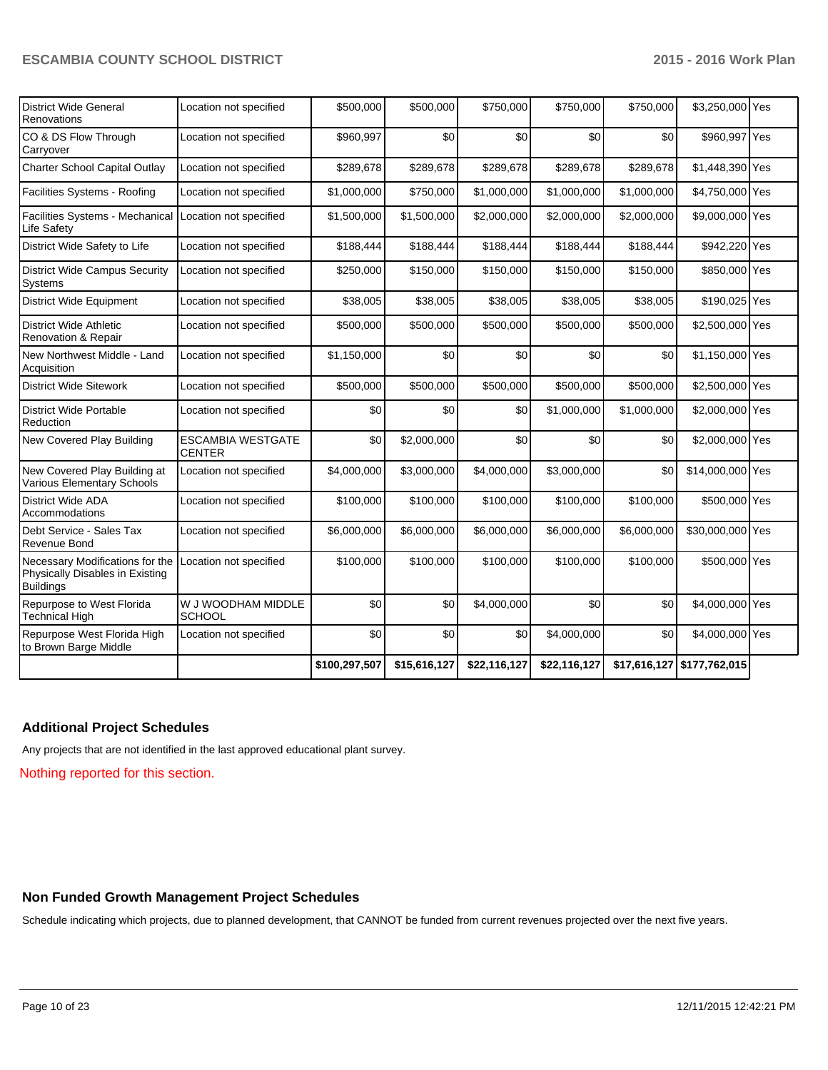| District Wide General<br>Renovations                                                   | Location not specified                    | \$500,000     | \$500,000    | \$750,000    | \$750,000    | \$750,000   | \$3,250,000 Yes              |  |
|----------------------------------------------------------------------------------------|-------------------------------------------|---------------|--------------|--------------|--------------|-------------|------------------------------|--|
| CO & DS Flow Through<br>Carryover                                                      | Location not specified                    | \$960,997     | \$0          | \$0          | \$0          | \$0         | \$960,997 Yes                |  |
| Charter School Capital Outlay                                                          | Location not specified                    | \$289,678     | \$289,678    | \$289,678    | \$289,678    | \$289,678   | \$1,448,390 Yes              |  |
| Facilities Systems - Roofing                                                           | Location not specified                    | \$1,000,000   | \$750,000    | \$1,000,000  | \$1,000,000  | \$1,000,000 | \$4,750,000 Yes              |  |
| Facilities Systems - Mechanical<br>Life Safety                                         | Location not specified                    | \$1,500,000   | \$1,500,000  | \$2,000,000  | \$2,000,000  | \$2,000,000 | \$9,000,000 Yes              |  |
| District Wide Safety to Life                                                           | Location not specified                    | \$188,444     | \$188,444    | \$188,444    | \$188,444    | \$188,444   | \$942,220 Yes                |  |
| <b>District Wide Campus Security</b><br>Systems                                        | Location not specified                    | \$250,000     | \$150,000    | \$150,000    | \$150,000    | \$150,000   | \$850,000 Yes                |  |
| <b>District Wide Equipment</b>                                                         | Location not specified                    | \$38,005      | \$38,005     | \$38,005     | \$38,005     | \$38,005    | \$190,025 Yes                |  |
| <b>District Wide Athletic</b><br>Renovation & Repair                                   | Location not specified                    | \$500,000     | \$500,000    | \$500,000    | \$500,000    | \$500,000   | \$2,500,000 Yes              |  |
| New Northwest Middle - Land<br>Acquisition                                             | Location not specified                    | \$1,150,000   | \$0          | \$0          | \$0          | \$0         | \$1,150,000 Yes              |  |
| <b>District Wide Sitework</b>                                                          | Location not specified                    | \$500,000     | \$500,000    | \$500,000    | \$500,000    | \$500,000   | \$2,500,000 Yes              |  |
| <b>District Wide Portable</b><br>Reduction                                             | Location not specified                    | \$0           | \$0          | \$0          | \$1,000,000  | \$1,000,000 | \$2,000,000 Yes              |  |
| New Covered Play Building                                                              | <b>ESCAMBIA WESTGATE</b><br><b>CENTER</b> | \$0           | \$2,000,000  | \$0          | \$0          | \$0         | \$2,000,000 Yes              |  |
| New Covered Play Building at<br>Various Elementary Schools                             | Location not specified                    | \$4,000,000   | \$3,000,000  | \$4,000,000  | \$3,000,000  | \$0         | \$14,000,000 Yes             |  |
| <b>District Wide ADA</b><br>Accommodations                                             | Location not specified                    | \$100,000     | \$100,000    | \$100,000    | \$100,000    | \$100,000   | \$500,000 Yes                |  |
| Debt Service - Sales Tax<br>Revenue Bond                                               | Location not specified                    | \$6,000,000   | \$6,000,000  | \$6,000,000  | \$6,000,000  | \$6,000,000 | \$30,000,000 Yes             |  |
| Necessary Modifications for the<br>Physically Disables in Existing<br><b>Buildings</b> | Location not specified                    | \$100,000     | \$100,000    | \$100,000    | \$100,000    | \$100,000   | \$500,000 Yes                |  |
| Repurpose to West Florida<br><b>Technical High</b>                                     | W J WOODHAM MIDDLE<br><b>SCHOOL</b>       | \$0           | \$0          | \$4,000,000  | \$0          | \$0         | \$4,000,000 Yes              |  |
| Repurpose West Florida High<br>to Brown Barge Middle                                   | Location not specified                    | \$0           | \$0          | \$0          | \$4,000,000  | \$0         | \$4,000,000 Yes              |  |
|                                                                                        |                                           | \$100,297,507 | \$15,616,127 | \$22,116,127 | \$22,116,127 |             | $$17,616,127$ $$177,762,015$ |  |

# **Additional Project Schedules**

Any projects that are not identified in the last approved educational plant survey.

Nothing reported for this section.

# **Non Funded Growth Management Project Schedules**

Schedule indicating which projects, due to planned development, that CANNOT be funded from current revenues projected over the next five years.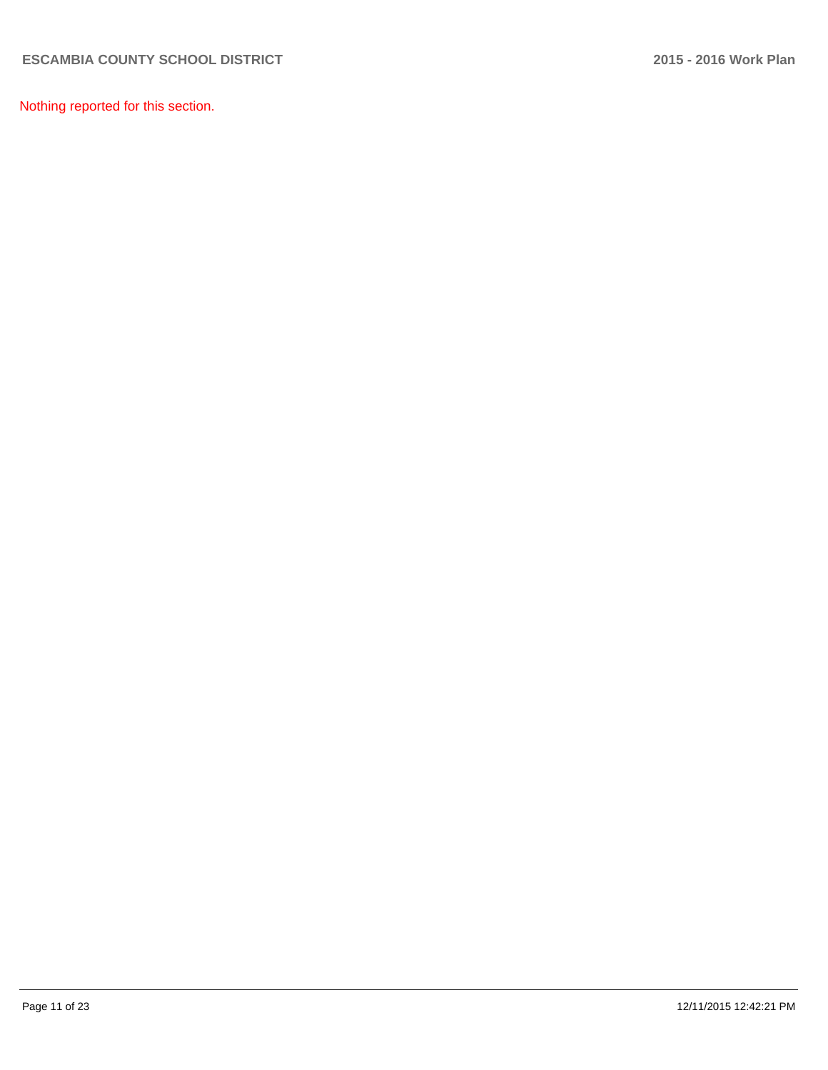Nothing reported for this section.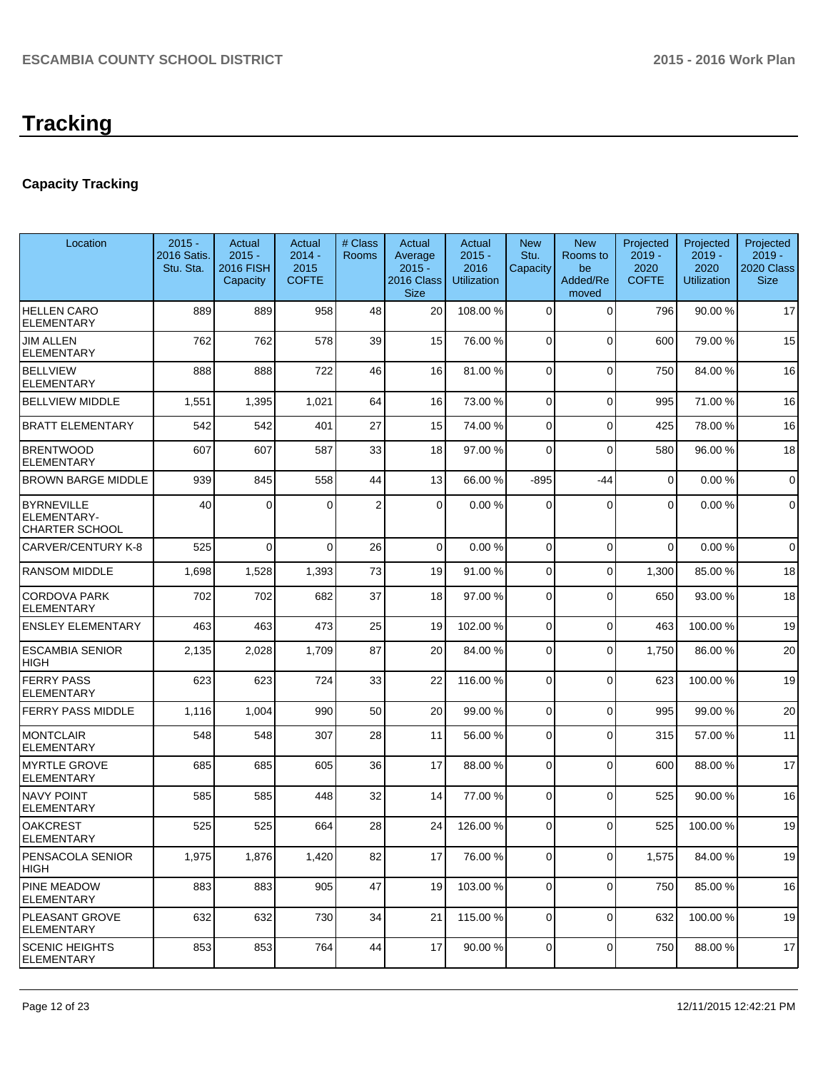# **Tracking**

# **Capacity Tracking**

| Location                                                  | $2015 -$<br>2016 Satis.<br>Stu. Sta. | Actual<br>$2015 -$<br><b>2016 FISH</b><br>Capacity | Actual<br>$2014 -$<br>2015<br><b>COFTE</b> | # Class<br><b>Rooms</b> | Actual<br>Average<br>$2015 -$<br>2016 Class<br><b>Size</b> | Actual<br>$2015 -$<br>2016<br><b>Utilization</b> | <b>New</b><br>Stu.<br>Capacity | <b>New</b><br>Rooms to<br>be<br>Added/Re<br>moved | Projected<br>$2019 -$<br>2020<br><b>COFTE</b> | Projected<br>$2019 -$<br>2020<br><b>Utilization</b> | Projected<br>$2019 -$<br>2020 Class<br><b>Size</b> |
|-----------------------------------------------------------|--------------------------------------|----------------------------------------------------|--------------------------------------------|-------------------------|------------------------------------------------------------|--------------------------------------------------|--------------------------------|---------------------------------------------------|-----------------------------------------------|-----------------------------------------------------|----------------------------------------------------|
| <b>HELLEN CARO</b><br><b>ELEMENTARY</b>                   | 889                                  | 889                                                | 958                                        | 48                      | 20                                                         | 108.00 %                                         | $\Omega$                       | $\Omega$                                          | 796                                           | 90.00 %                                             | 17                                                 |
| <b>JIM ALLEN</b><br><b>ELEMENTARY</b>                     | 762                                  | 762                                                | 578                                        | 39                      | 15                                                         | 76.00 %                                          | 0                              | $\Omega$                                          | 600                                           | 79.00 %                                             | 15                                                 |
| <b>BELLVIEW</b><br><b>ELEMENTARY</b>                      | 888                                  | 888                                                | 722                                        | 46                      | 16                                                         | 81.00 %                                          | 0                              | $\Omega$                                          | 750                                           | 84.00%                                              | 16                                                 |
| <b>BELLVIEW MIDDLE</b>                                    | 1,551                                | 1,395                                              | 1,021                                      | 64                      | 16                                                         | 73.00 %                                          | 0                              | $\Omega$                                          | 995                                           | 71.00%                                              | 16                                                 |
| <b>BRATT ELEMENTARY</b>                                   | 542                                  | 542                                                | 401                                        | 27                      | 15                                                         | 74.00 %                                          | 0                              | $\Omega$                                          | 425                                           | 78.00 %                                             | 16                                                 |
| <b>BRENTWOOD</b><br><b>ELEMENTARY</b>                     | 607                                  | 607                                                | 587                                        | 33                      | 18                                                         | 97.00 %                                          | 0                              | $\Omega$                                          | 580                                           | 96.00%                                              | 18                                                 |
| <b>BROWN BARGE MIDDLE</b>                                 | 939                                  | 845                                                | 558                                        | 44                      | 13                                                         | 66.00 %                                          | $-895$                         | -44                                               | 0                                             | 0.00%                                               | $\mathbf 0$                                        |
| <b>BYRNEVILLE</b><br>ELEMENTARY-<br><b>CHARTER SCHOOL</b> | 40                                   | $\Omega$                                           | 0                                          | $\boldsymbol{2}$        | $\Omega$                                                   | 0.00%                                            | $\Omega$                       | $\Omega$                                          | $\Omega$                                      | 0.00%                                               | $\mathbf 0$                                        |
| <b>CARVER/CENTURY K-8</b>                                 | 525                                  | $\Omega$                                           | $\Omega$                                   | 26                      | $\overline{0}$                                             | 0.00%                                            | 0                              | $\Omega$                                          | $\Omega$                                      | 0.00%                                               | $\mathbf 0$                                        |
| <b>RANSOM MIDDLE</b>                                      | 1,698                                | 1,528                                              | 1,393                                      | 73                      | 19                                                         | 91.00%                                           | 0                              | $\Omega$                                          | 1,300                                         | 85.00 %                                             | 18                                                 |
| <b>CORDOVA PARK</b><br><b>ELEMENTARY</b>                  | 702                                  | 702                                                | 682                                        | 37                      | 18                                                         | 97.00 %                                          | 0                              | $\Omega$                                          | 650                                           | 93.00 %                                             | 18                                                 |
| <b>ENSLEY ELEMENTARY</b>                                  | 463                                  | 463                                                | 473                                        | 25                      | 19                                                         | 102.00 %                                         | $\overline{0}$                 | $\Omega$                                          | 463                                           | 100.00%                                             | 19                                                 |
| <b>ESCAMBIA SENIOR</b><br><b>HIGH</b>                     | 2,135                                | 2,028                                              | 1,709                                      | 87                      | 20                                                         | 84.00 %                                          | $\Omega$                       | $\Omega$                                          | 1,750                                         | 86.00 %                                             | 20                                                 |
| <b>FERRY PASS</b><br><b>ELEMENTARY</b>                    | 623                                  | 623                                                | 724                                        | 33                      | 22                                                         | 116.00 %                                         | $\Omega$                       | $\Omega$                                          | 623                                           | 100.00%                                             | 19                                                 |
| <b>FERRY PASS MIDDLE</b>                                  | 1,116                                | 1,004                                              | 990                                        | 50                      | 20                                                         | 99.00 %                                          | 0                              | $\Omega$                                          | 995                                           | 99.00 %                                             | 20                                                 |
| <b>MONTCLAIR</b><br><b>ELEMENTARY</b>                     | 548                                  | 548                                                | 307                                        | 28                      | 11                                                         | 56.00 %                                          | 0                              | $\Omega$                                          | 315                                           | 57.00 %                                             | 11                                                 |
| <b>MYRTLE GROVE</b><br><b>ELEMENTARY</b>                  | 685                                  | 685                                                | 605                                        | 36                      | 17                                                         | 88.00 %                                          | 0                              | $\Omega$                                          | 600                                           | 88.00 %                                             | 17                                                 |
| <b>NAVY POINT</b><br><b>ELEMENTARY</b>                    | 585                                  | 585                                                | 448                                        | 32                      | 14                                                         | 77.00 %                                          | $\Omega$                       | $\Omega$                                          | 525                                           | 90.00 %                                             | 16                                                 |
| <b>OAKCREST</b><br><b>ELEMENTARY</b>                      | 525                                  | 525                                                | 664                                        | 28                      | 24                                                         | 126.00%                                          | $\overline{0}$                 | $\overline{0}$                                    | 525                                           | 100.00%                                             | 19                                                 |
| PENSACOLA SENIOR<br><b>HIGH</b>                           | 1,975                                | 1,876                                              | 1,420                                      | 82                      | 17                                                         | 76.00 %                                          | 0                              | $\mathbf 0$                                       | 1,575                                         | 84.00%                                              | 19                                                 |
| <b>PINE MEADOW</b><br><b>ELEMENTARY</b>                   | 883                                  | 883                                                | 905                                        | 47                      | 19                                                         | 103.00 %                                         | 0                              | 0                                                 | 750                                           | 85.00 %                                             | 16                                                 |
| <b>PLEASANT GROVE</b><br><b>ELEMENTARY</b>                | 632                                  | 632                                                | 730                                        | 34                      | 21                                                         | 115.00 %                                         | 0                              | $\mathbf 0$                                       | 632                                           | 100.00%                                             | 19                                                 |
| <b>SCENIC HEIGHTS</b><br><b>ELEMENTARY</b>                | 853                                  | 853                                                | 764                                        | 44                      | 17                                                         | 90.00 %                                          | 0                              | 0                                                 | 750                                           | 88.00 %                                             | 17                                                 |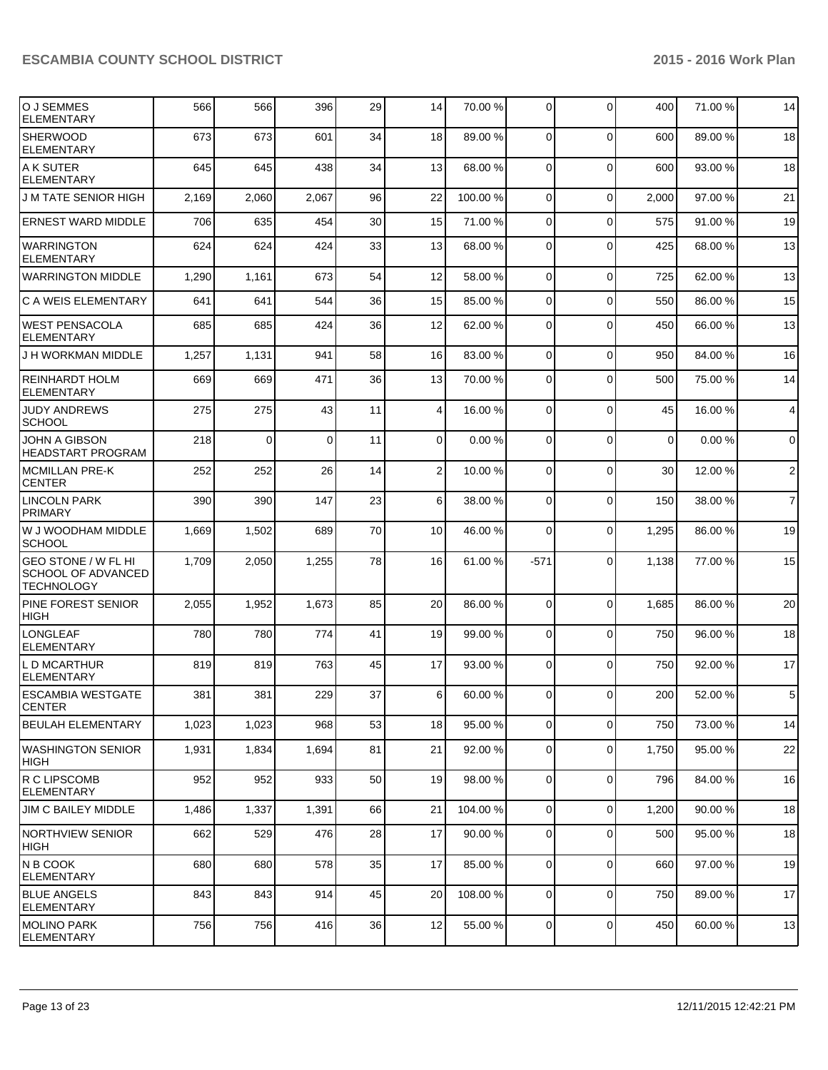| O J SEMMES<br><b>ELEMENTARY</b>                                       | 566   | 566         | 396      | 29 | 14              | 70.00 %  | $\overline{0}$ | $\Omega$       | 400         | 71.00%  | 14             |
|-----------------------------------------------------------------------|-------|-------------|----------|----|-----------------|----------|----------------|----------------|-------------|---------|----------------|
| <b>SHERWOOD</b><br><b>ELEMENTARY</b>                                  | 673   | 673         | 601      | 34 | 18              | 89.00 %  | $\Omega$       | $\mathbf 0$    | 600         | 89.00 % | 18             |
| A K SUTER<br>ELEMENTARY                                               | 645   | 645         | 438      | 34 | 13              | 68.00 %  | $\Omega$       | $\mathbf{0}$   | 600         | 93.00 % | 18             |
| <b>J M TATE SENIOR HIGH</b>                                           | 2,169 | 2,060       | 2,067    | 96 | 22              | 100.00%  | $\Omega$       | $\mathbf{0}$   | 2,000       | 97.00 % | 21             |
| <b>ERNEST WARD MIDDLE</b>                                             | 706   | 635         | 454      | 30 | 15              | 71.00 %  | $\Omega$       | $\mathbf{0}$   | 575         | 91.00%  | 19             |
| <b>WARRINGTON</b><br><b>ELEMENTARY</b>                                | 624   | 624         | 424      | 33 | 13              | 68.00 %  | $\Omega$       | $\Omega$       | 425         | 68.00 % | 13             |
| <b>WARRINGTON MIDDLE</b>                                              | 1,290 | 1,161       | 673      | 54 | 12              | 58.00 %  | $\Omega$       | $\Omega$       | 725         | 62.00%  | 13             |
| <b>C A WEIS ELEMENTARY</b>                                            | 641   | 641         | 544      | 36 | 15              | 85.00 %  | $\Omega$       | $\Omega$       | 550         | 86.00 % | 15             |
| <b>WEST PENSACOLA</b><br><b>ELEMENTARY</b>                            | 685   | 685         | 424      | 36 | 12              | 62.00 %  | $\Omega$       | $\Omega$       | 450         | 66.00%  | 13             |
| J H WORKMAN MIDDLE                                                    | 1,257 | 1,131       | 941      | 58 | 16              | 83.00 %  | $\Omega$       | $\mathbf 0$    | 950         | 84.00%  | 16             |
| <b>REINHARDT HOLM</b><br><b>ELEMENTARY</b>                            | 669   | 669         | 471      | 36 | 13              | 70.00 %  | $\Omega$       | $\mathbf{0}$   | 500         | 75.00 % | 14             |
| JUDY ANDREWS<br><b>SCHOOL</b>                                         | 275   | 275         | 43       | 11 | $\vert$         | 16.00 %  | $\overline{0}$ | $\mathbf{0}$   | 45          | 16.00 % | $\overline{4}$ |
| JOHN A GIBSON<br><b>HEADSTART PROGRAM</b>                             | 218   | $\mathbf 0$ | $\Omega$ | 11 | $\Omega$        | 0.00%    | $\overline{0}$ | 0              | $\mathbf 0$ | 0.00%   | $\overline{0}$ |
| <b>MCMILLAN PRE-K</b><br><b>CENTER</b>                                | 252   | 252         | 26       | 14 | $\overline{2}$  | 10.00 %  | $\Omega$       | $\Omega$       | 30          | 12.00 % | $\sqrt{2}$     |
| <b>LINCOLN PARK</b><br><b>PRIMARY</b>                                 | 390   | 390         | 147      | 23 | 6 <sup>1</sup>  | 38.00 %  | $\Omega$       | 0              | 150         | 38.00 % | $\overline{7}$ |
| W J WOODHAM MIDDLE<br><b>SCHOOL</b>                                   | 1,669 | 1,502       | 689      | 70 | 10 <sup>1</sup> | 46.00 %  | $\Omega$       | 0              | 1,295       | 86.00 % | 19             |
| <b>GEO STONE / W FL HI</b><br>SCHOOL OF ADVANCED<br><b>TECHNOLOGY</b> | 1,709 | 2,050       | 1,255    | 78 | 16              | 61.00 %  | $-571$         | $\Omega$       | 1,138       | 77.00 % | 15             |
| PINE FOREST SENIOR<br><b>HIGH</b>                                     | 2,055 | 1,952       | 1,673    | 85 | 20              | 86.00 %  | $\overline{0}$ | $\mathbf 0$    | 1,685       | 86.00 % | 20             |
| <b>LONGLEAF</b><br><b>ELEMENTARY</b>                                  | 780   | 780         | 774      | 41 | 19              | 99.00 %  | $\overline{0}$ | $\mathbf 0$    | 750         | 96.00 % | 18             |
| L D MCARTHUR<br><b>ELEMENTARY</b>                                     | 819   | 819         | 763      | 45 | 17              | 93.00 %  | $\Omega$       | $\Omega$       | 750         | 92.00 % | 17             |
| <b>IESCAMBIA WESTGATE</b><br>ICENTER                                  | 381   | 381         | 229      | 37 | 6 <sup>1</sup>  | 60.00 %  | $\overline{0}$ | 0              | 200         | 52.00 % | 5              |
| <b>BEULAH ELEMENTARY</b>                                              | 1,023 | 1,023       | 968      | 53 | 18              | 95.00 %  | $\overline{0}$ | 0              | 750         | 73.00 % | 14             |
| IWASHINGTON SENIOR<br> HIGH                                           | 1,931 | 1,834       | 1,694    | 81 | 21              | 92.00 %  | $\overline{0}$ | 0              | 1,750       | 95.00 % | 22             |
| R C LIPSCOMB<br><b>ELEMENTARY</b>                                     | 952   | 952         | 933      | 50 | 19              | 98.00 %  | 0              | 0              | 796         | 84.00 % | 16             |
| JIM C BAILEY MIDDLE                                                   | 1,486 | 1,337       | 1,391    | 66 | 21              | 104.00%  | $\Omega$       | 0              | 1,200       | 90.00%  | 18             |
| NORTHVIEW SENIOR<br> HIGH                                             | 662   | 529         | 476      | 28 | 17              | 90.00 %  | $\Omega$       | $\overline{0}$ | 500         | 95.00 % | 18             |
| <b>N B COOK</b><br> ELEMENTARY                                        | 680   | 680         | 578      | 35 | 17              | 85.00 %  | $\overline{0}$ | 0              | 660         | 97.00%  | 19             |
| <b>IBLUE ANGELS</b><br><b>ELEMENTARY</b>                              | 843   | 843         | 914      | 45 | 20              | 108.00 % | $\overline{0}$ | 0              | 750         | 89.00 % | 17             |
| <b>MOLINO PARK</b><br><b>ELEMENTARY</b>                               | 756   | 756         | 416      | 36 | 12              | 55.00 %  | $\Omega$       | 0              | 450         | 60.00%  | 13             |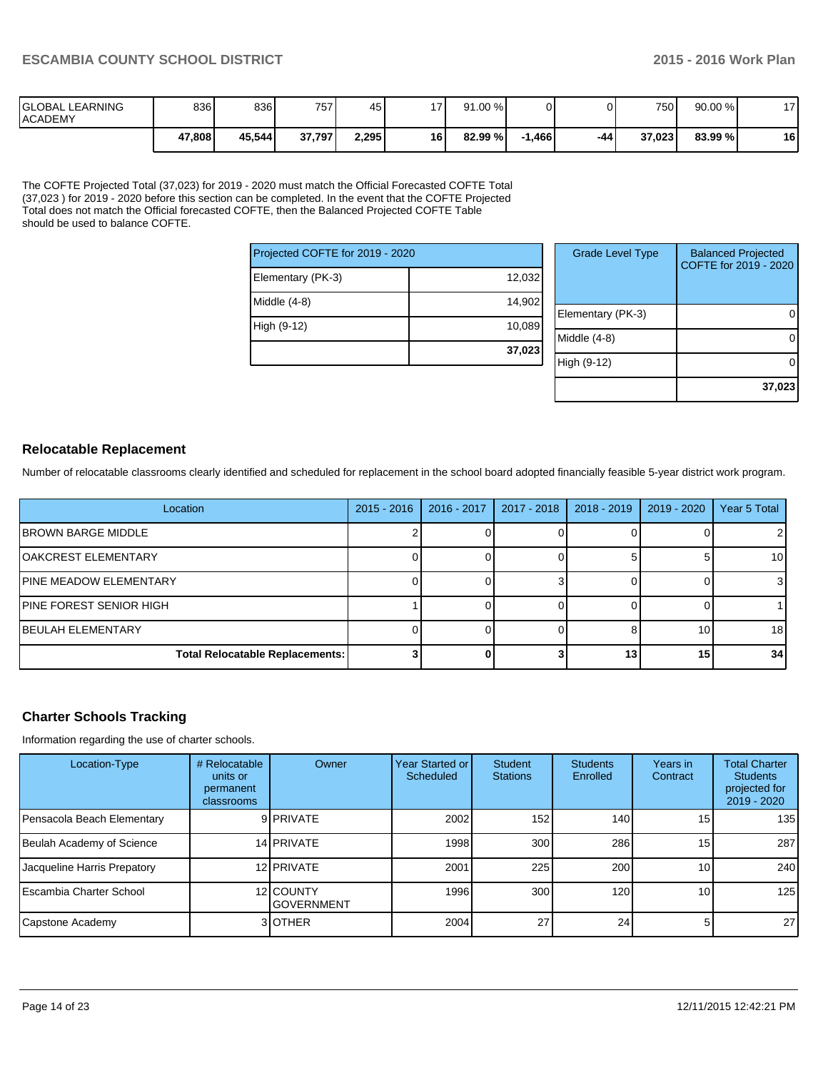| <b>IGLOBAL LEARNING</b><br><b>ACADEMY</b> | 836    | 836    | 757)   | 45    | 171  | 91.00 % |         |     | 7501   | 90.00 % | - - |
|-------------------------------------------|--------|--------|--------|-------|------|---------|---------|-----|--------|---------|-----|
|                                           | 47,808 | 45,544 | 37,797 | 2,295 | 16 I | 82.99 % | ا 466.، | -44 | 37.023 | 83.99%1 | 16  |

The COFTE Projected Total (37,023) for 2019 - 2020 must match the Official Forecasted COFTE Total (37,023 ) for 2019 - 2020 before this section can be completed. In the event that the COFTE Projected Total does not match the Official forecasted COFTE, then the Balanced Projected COFTE Table should be used to balance COFTE.

| Projected COFTE for 2019 - 2020 |        |      |  |  |  |
|---------------------------------|--------|------|--|--|--|
| Elementary (PK-3)               | 12,032 |      |  |  |  |
| Middle (4-8)                    | 14,902 | Elen |  |  |  |
| High (9-12)                     | 10,089 | Midc |  |  |  |
|                                 | 37,023 |      |  |  |  |

| <b>Grade Level Type</b> | <b>Balanced Projected</b><br>COFTE for 2019 - 2020 |
|-------------------------|----------------------------------------------------|
| Elementary (PK-3)       |                                                    |
| Middle (4-8)            |                                                    |
| High (9-12)             |                                                    |
|                         | 37,023                                             |

# **Relocatable Replacement**

Number of relocatable classrooms clearly identified and scheduled for replacement in the school board adopted financially feasible 5-year district work program.

| Location                               | $2015 - 2016$ | $2016 - 2017$ | 2017 - 2018 | 2018 - 2019 | 2019 - 2020 | Year 5 Total    |
|----------------------------------------|---------------|---------------|-------------|-------------|-------------|-----------------|
| <b>IBROWN BARGE MIDDLE</b>             |               |               |             |             |             |                 |
| <b>JOAKCREST ELEMENTARY</b>            |               |               |             |             |             | 10 I            |
| <b>JPINE MEADOW ELEMENTARY</b>         |               |               |             |             |             | 31              |
| <b>PINE FOREST SENIOR HIGH</b>         |               |               |             |             |             |                 |
| <b>IBEULAH ELEMENTARY</b>              |               |               |             |             | 10          | 18 <sup>l</sup> |
| <b>Total Relocatable Replacements:</b> |               |               |             | 13          | 15          | 34 <sub>l</sub> |

# **Charter Schools Tracking**

Information regarding the use of charter schools.

| Location-Type               | # Relocatable<br>units or<br>permanent<br>classrooms | Owner                          | Year Started or<br>Scheduled | <b>Student</b><br><b>Stations</b> | <b>Students</b><br>Enrolled | Years in<br>Contract | <b>Total Charter</b><br><b>Students</b><br>projected for<br>$2019 - 2020$ |
|-----------------------------|------------------------------------------------------|--------------------------------|------------------------------|-----------------------------------|-----------------------------|----------------------|---------------------------------------------------------------------------|
| Pensacola Beach Elementary  |                                                      | 9 PRIVATE                      | 2002                         | 152                               | 140 <b>I</b>                | 15 <sub>l</sub>      | 135                                                                       |
| Beulah Academy of Science   |                                                      | 14 PRIVATE                     | 1998                         | 300 <sub>l</sub>                  | 286                         | 15 <sub>l</sub>      | 287                                                                       |
| Jacqueline Harris Prepatory |                                                      | 12 PRIVATE                     | 2001                         | 225                               | 200                         | 10 <sup>1</sup>      | 240                                                                       |
| LEscambia Charter School    |                                                      | 12 COUNTY<br><b>GOVERNMENT</b> | 1996                         | 300 <sub>l</sub>                  | 120 <sup>1</sup>            | 10 <sub>1</sub>      | 125                                                                       |
| Capstone Academy            |                                                      | 3 OTHER                        | 2004                         | 27                                | 24                          | 5.                   | 27                                                                        |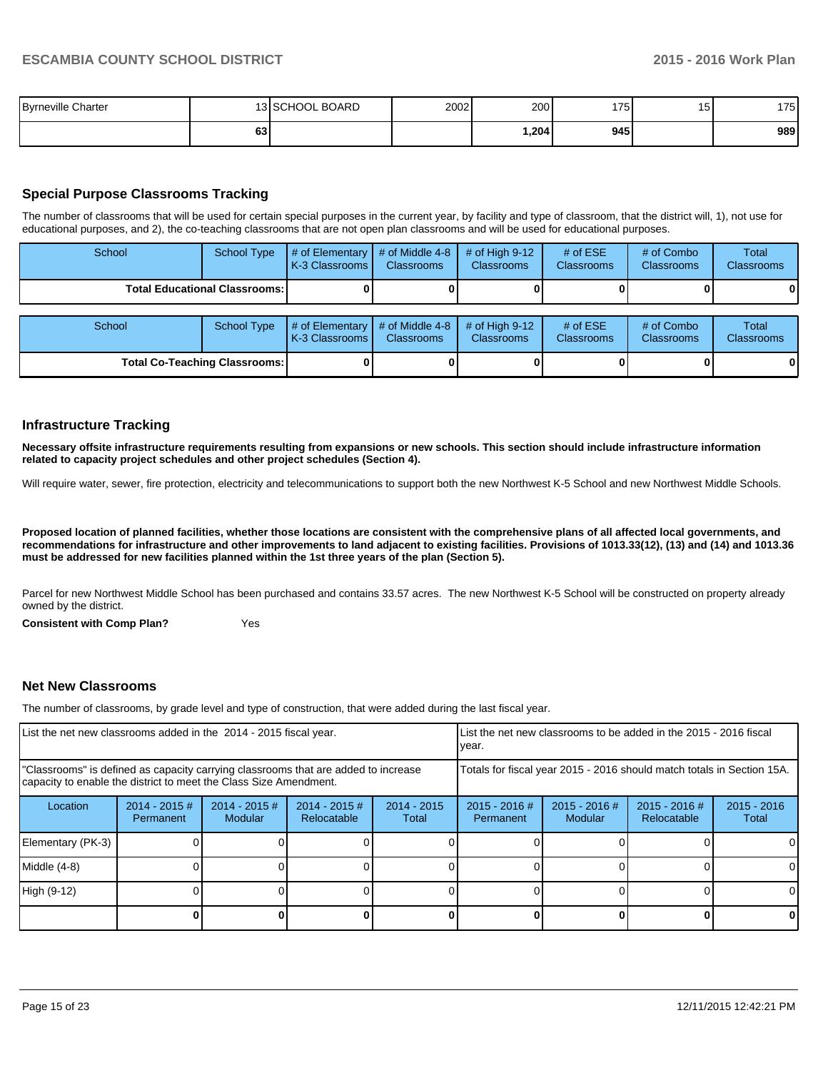| <b>Byrneville Charter</b> |                 | 13 SCHOOL BOARD | 2002 | 200  | 175 | $\overline{\phantom{0}}$<br>15 | 175 |
|---------------------------|-----------------|-----------------|------|------|-----|--------------------------------|-----|
|                           | 63 <sub>1</sub> |                 |      | .204 | 945 |                                | 989 |

# **Special Purpose Classrooms Tracking**

The number of classrooms that will be used for certain special purposes in the current year, by facility and type of classroom, that the district will, 1), not use for educational purposes, and 2), the co-teaching classrooms that are not open plan classrooms and will be used for educational purposes.

| School                                 | School Type        | # of Elementary $\vert$<br>K-3 Classrooms | # of Middle 4-8<br><b>Classrooms</b> | # of High $9-12$<br><b>Classrooms</b> | # of $ESE$<br>Classrooms | # of Combo<br><b>Classrooms</b> | Total<br><b>Classrooms</b> |
|----------------------------------------|--------------------|-------------------------------------------|--------------------------------------|---------------------------------------|--------------------------|---------------------------------|----------------------------|
| <b>Total Educational Classrooms: I</b> |                    |                                           |                                      |                                       |                          |                                 | 01                         |
| School                                 | <b>School Type</b> | # of Elementary $\vert$<br>K-3 Classrooms | # of Middle 4-8<br><b>Classrooms</b> | # of High $9-12$<br><b>Classrooms</b> | # of $ESE$<br>Classrooms | # of Combo<br><b>Classrooms</b> | Total<br><b>Classrooms</b> |
| <b>Total Co-Teaching Classrooms:</b>   |                    |                                           |                                      |                                       |                          | 0                               | 01                         |

#### **Infrastructure Tracking**

**Necessary offsite infrastructure requirements resulting from expansions or new schools. This section should include infrastructure information related to capacity project schedules and other project schedules (Section 4).**

Will require water, sewer, fire protection, electricity and telecommunications to support both the new Northwest K-5 School and new Northwest Middle Schools.

**Proposed location of planned facilities, whether those locations are consistent with the comprehensive plans of all affected local governments, and recommendations for infrastructure and other improvements to land adjacent to existing facilities. Provisions of 1013.33(12), (13) and (14) and 1013.36 must be addressed for new facilities planned within the 1st three years of the plan (Section 5).**

Parcel for new Northwest Middle School has been purchased and contains 33.57 acres. The new Northwest K-5 School will be constructed on property already owned by the district.

**Consistent with Comp Plan?** Yes

## **Net New Classrooms**

The number of classrooms, by grade level and type of construction, that were added during the last fiscal year.

| List the net new classrooms added in the 2014 - 2015 fiscal year.                                                                                       |                               |                            |                                |                        | List the net new classrooms to be added in the 2015 - 2016 fiscal<br>Ivear. |                            |                              |                        |
|---------------------------------------------------------------------------------------------------------------------------------------------------------|-------------------------------|----------------------------|--------------------------------|------------------------|-----------------------------------------------------------------------------|----------------------------|------------------------------|------------------------|
| "Classrooms" is defined as capacity carrying classrooms that are added to increase<br>capacity to enable the district to meet the Class Size Amendment. |                               |                            |                                |                        | Totals for fiscal year 2015 - 2016 should match totals in Section 15A.      |                            |                              |                        |
| Location                                                                                                                                                | $2014 - 2015 \#$<br>Permanent | $2014 - 2015$ #<br>Modular | $2014 - 2015$ #<br>Relocatable | $2014 - 2015$<br>Total | $2015 - 2016$ #<br>Permanent                                                | $2015 - 2016$ #<br>Modular | 2015 - 2016 #<br>Relocatable | $2015 - 2016$<br>Total |
| Elementary (PK-3)                                                                                                                                       |                               |                            |                                |                        |                                                                             |                            |                              |                        |
| Middle (4-8)                                                                                                                                            |                               |                            |                                |                        |                                                                             |                            |                              | ΩI                     |
| High (9-12)                                                                                                                                             |                               |                            |                                |                        |                                                                             |                            |                              |                        |
|                                                                                                                                                         |                               |                            |                                |                        |                                                                             |                            |                              | o                      |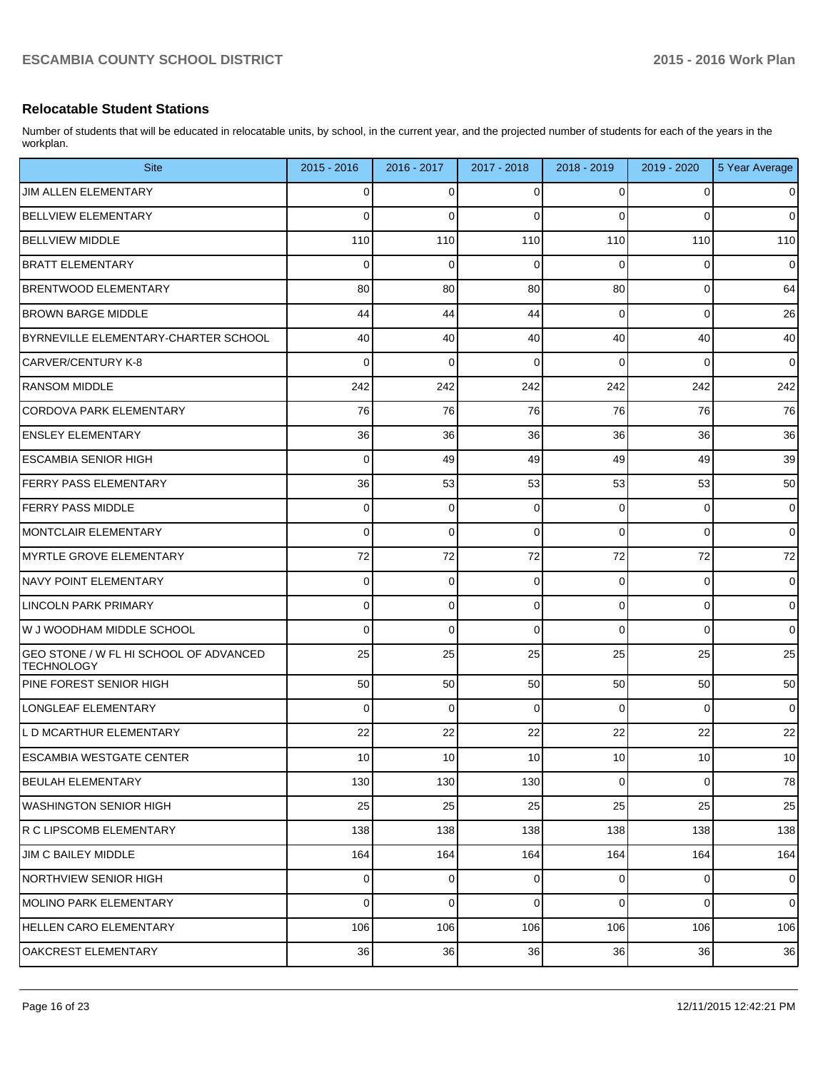## **Relocatable Student Stations**

Number of students that will be educated in relocatable units, by school, in the current year, and the projected number of students for each of the years in the workplan.

| <b>Site</b>                                                 | $2015 - 2016$   | 2016 - 2017     | 2017 - 2018     | 2018 - 2019     | 2019 - 2020     | 5 Year Average |
|-------------------------------------------------------------|-----------------|-----------------|-----------------|-----------------|-----------------|----------------|
| JIM ALLEN ELEMENTARY                                        | 0               | 0               | 0               | 0               | 0               | $\mathbf 0$    |
| <b>BELLVIEW ELEMENTARY</b>                                  | $\Omega$        | 0               | $\Omega$        | $\Omega$        | 0               | $\mathbf 0$    |
| <b>BELLVIEW MIDDLE</b>                                      | 110             | 110             | 110             | 110             | 110             | 110            |
| <b>BRATT ELEMENTARY</b>                                     | 0               | $\mathbf 0$     | $\mathbf 0$     | $\Omega$        | 0               | $\mathbf 0$    |
| <b>BRENTWOOD ELEMENTARY</b>                                 | 80              | 80              | 80              | 80              | 0               | 64             |
| <b>BROWN BARGE MIDDLE</b>                                   | 44              | 44              | 44              | $\Omega$        | 0               | 26             |
| BYRNEVILLE ELEMENTARY-CHARTER SCHOOL                        | 40              | 40              | 40              | 40              | 40              | 40             |
| CARVER/CENTURY K-8                                          | 0               | 0               | $\mathbf 0$     | 0               | 0               | $\mathbf 0$    |
| <b>RANSOM MIDDLE</b>                                        | 242             | 242             | 242             | 242             | 242             | 242            |
| CORDOVA PARK ELEMENTARY                                     | 76              | 76              | 76              | 76              | 76              | 76             |
| <b>ENSLEY ELEMENTARY</b>                                    | 36              | 36              | 36              | 36              | 36              | 36             |
| <b>IESCAMBIA SENIOR HIGH</b>                                | 0               | 49              | 49              | 49              | 49              | 39             |
| <b>FERRY PASS ELEMENTARY</b>                                | 36              | 53              | 53              | 53              | 53              | 50             |
| <b>FERRY PASS MIDDLE</b>                                    | 0               | 0               | $\mathbf 0$     | 0               | 0               | $\mathbf 0$    |
| MONTCLAIR ELEMENTARY                                        | 0               | 0               | $\mathbf 0$     | 0               | 0               | $\mathbf 0$    |
| MYRTLE GROVE ELEMENTARY                                     | 72              | 72              | 72              | 72              | 72              | 72             |
| NAVY POINT ELEMENTARY                                       | 0               | 0               | $\mathbf 0$     | 0               | 0               | $\mathbf 0$    |
| LINCOLN PARK PRIMARY                                        | 0               | 0               | 0               | $\mathbf 0$     | 0               | $\mathbf 0$    |
| W J WOODHAM MIDDLE SCHOOL                                   | 0               | 0               | $\Omega$        | 0               | $\Omega$        | $\mathbf 0$    |
| GEO STONE / W FL HI SCHOOL OF ADVANCED<br><b>TECHNOLOGY</b> | 25              | 25              | 25              | 25              | 25              | 25             |
| PINE FOREST SENIOR HIGH                                     | 50              | 50              | 50              | 50              | 50              | 50             |
| LONGLEAF ELEMENTARY                                         | $\Omega$        | $\mathbf 0$     | $\mathbf 0$     | $\Omega$        | 0               | $\mathbf 0$    |
| L D MCARTHUR ELEMENTARY                                     | 22              | 22              | 22              | 22              | 22              | 22             |
| <b>ESCAMBIA WESTGATE CENTER</b>                             | 10 <sup>1</sup> | 10 <sup>1</sup> | 10 <sup>1</sup> | 10 <sup>1</sup> | 10 <sup>1</sup> | 10             |
| <b>BEULAH ELEMENTARY</b>                                    | 130             | 130             | 130             | $\overline{0}$  | 0               | 78             |
| WASHINGTON SENIOR HIGH                                      | 25              | 25              | 25              | 25              | 25              | 25             |
| R C LIPSCOMB ELEMENTARY                                     | 138             | 138             | 138             | 138             | 138             | 138            |
| JIM C BAILEY MIDDLE                                         | 164             | 164             | 164             | 164             | 164             | 164            |
| NORTHVIEW SENIOR HIGH                                       | $\Omega$        | $\overline{0}$  | $\mathbf 0$     | $\overline{0}$  | $\mathbf 0$     | $\mathsf 0$    |
| MOLINO PARK ELEMENTARY                                      | $\Omega$        | 0               | $\Omega$        | $\Omega$        | 0               | $\mathbf 0$    |
| HELLEN CARO ELEMENTARY                                      | 106             | 106             | 106             | 106             | 106             | 106            |
| OAKCREST ELEMENTARY                                         | 36              | 36              | 36              | 36              | 36              | 36             |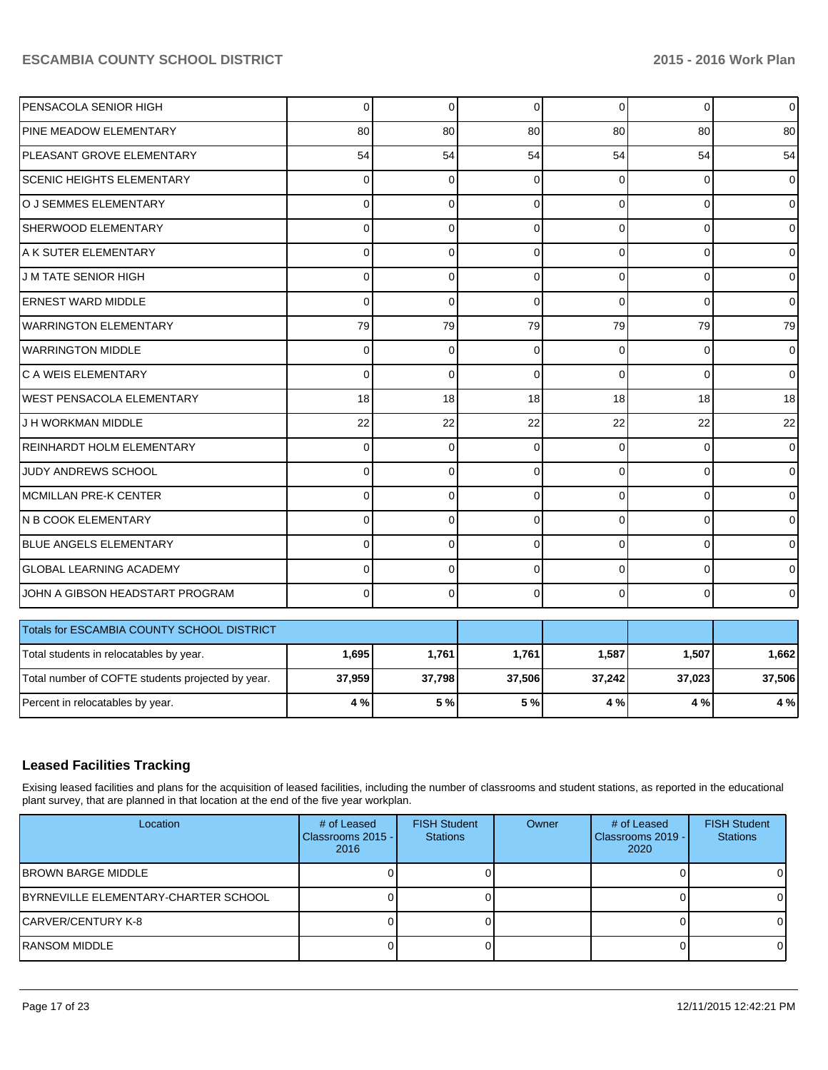| PENSACOLA SENIOR HIGH                             | $\mathbf 0$ | 0        | 0           | $\Omega$    | 0              | $\mathbf 0$ |
|---------------------------------------------------|-------------|----------|-------------|-------------|----------------|-------------|
| PINE MEADOW ELEMENTARY                            | 80          | 80       | 80          | 80          | 80             | 80          |
| PLEASANT GROVE ELEMENTARY                         | 54          | 54       | 54          | 54          | 54             | 54          |
| <b>SCENIC HEIGHTS ELEMENTARY</b>                  | $\Omega$    | 0        | $\mathbf 0$ | $\Omega$    | 0              | 0           |
| O J SEMMES ELEMENTARY                             | $\Omega$    | 0        | 0           | $\Omega$    | $\overline{0}$ | 0           |
| SHERWOOD ELEMENTARY                               | $\Omega$    | 0        | 0           | $\mathbf 0$ | $\overline{0}$ | 0           |
| A K SUTER ELEMENTARY                              | $\Omega$    | 0        | 0           | $\mathbf 0$ | $\overline{0}$ | 0           |
| J M TATE SENIOR HIGH                              | $\mathbf 0$ | 0        | 0           | $\mathbf 0$ | $\overline{0}$ | 0           |
| <b>ERNEST WARD MIDDLE</b>                         | $\Omega$    | $\Omega$ | $\Omega$    | $\Omega$    | 0              | 0           |
| WARRINGTON ELEMENTARY                             | 79          | 79       | 79          | 79          | 79             | 79          |
| <b>WARRINGTON MIDDLE</b>                          | $\mathbf 0$ | 0        | $\mathbf 0$ | $\mathbf 0$ | 0              | 0           |
| C A WEIS ELEMENTARY                               | $\Omega$    | $\Omega$ | $\Omega$    | $\Omega$    | $\Omega$       | 0           |
| <b>WEST PENSACOLA ELEMENTARY</b>                  | 18          | 18       | 18          | 18          | 18             | 18          |
| J H WORKMAN MIDDLE                                | 22          | 22       | 22          | 22          | 22             | 22          |
| REINHARDT HOLM ELEMENTARY                         | $\Omega$    | $\Omega$ | $\Omega$    | $\Omega$    | 0              | $\mathbf 0$ |
| <b>JUDY ANDREWS SCHOOL</b>                        | $\Omega$    | 0        | 0           | $\Omega$    | $\overline{0}$ | 0           |
| MCMILLAN PRE-K CENTER                             | $\Omega$    | 0        | 0           | $\Omega$    | $\overline{0}$ | 0           |
| N B COOK ELEMENTARY                               | $\Omega$    | 0        | 0           | $\Omega$    | 0              | 0           |
| BLUE ANGELS ELEMENTARY                            | $\Omega$    | 0        | 0           | $\Omega$    | 0              | 0           |
| <b>GLOBAL LEARNING ACADEMY</b>                    | $\Omega$    | 0        | 0           | $\Omega$    | 0              | 0           |
| JOHN A GIBSON HEADSTART PROGRAM                   | $\Omega$    | $\Omega$ | 0           | $\Omega$    | $\Omega$       | 0           |
| Totals for ESCAMBIA COUNTY SCHOOL DISTRICT        |             |          |             |             |                |             |
| Total students in relocatables by year.           | 1,695       | 1,761    | 1,761       | 1,587       | 1,507          | 1,662       |
| Total number of COFTE students projected by year. | 37,959      | 37,798   | 37,506      | 37,242      | 37,023         | 37,506      |
| Percent in relocatables by year.                  | 4 %         | 5 %      | 5 %         | 4 %         | 4 %            | 4 %         |

# **Leased Facilities Tracking**

Exising leased facilities and plans for the acquisition of leased facilities, including the number of classrooms and student stations, as reported in the educational plant survey, that are planned in that location at the end of the five year workplan.

| Location                             | # of Leased<br>Classrooms 2015 - I<br>2016 | <b>FISH Student</b><br><b>Stations</b> | Owner | # of Leased<br>Classrooms 2019 - I<br>2020 | <b>FISH Student</b><br><b>Stations</b> |
|--------------------------------------|--------------------------------------------|----------------------------------------|-------|--------------------------------------------|----------------------------------------|
| IBROWN BARGE MIDDLE                  |                                            |                                        |       |                                            |                                        |
| BYRNEVILLE ELEMENTARY-CHARTER SCHOOL |                                            |                                        |       |                                            |                                        |
| ICARVER/CENTURY K-8                  |                                            |                                        |       |                                            |                                        |
| IRANSOM MIDDLE                       |                                            |                                        |       |                                            |                                        |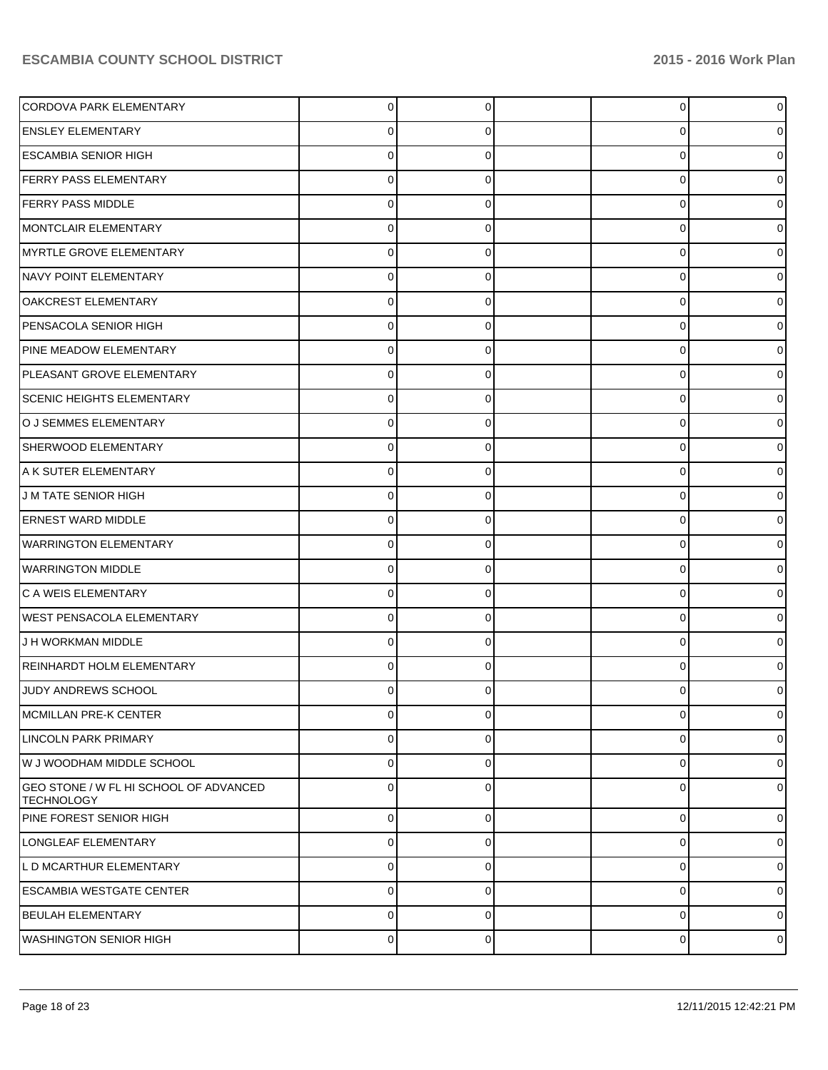| CORDOVA PARK ELEMENTARY                                     | $\Omega$       | $\Omega$    | $\overline{0}$ | $\overline{0}$ |
|-------------------------------------------------------------|----------------|-------------|----------------|----------------|
| <b>ENSLEY ELEMENTARY</b>                                    | 0              | O           | 0              | 0              |
| <b>ESCAMBIA SENIOR HIGH</b>                                 | 0              | U           | $\Omega$       | 0              |
| <b>FERRY PASS ELEMENTARY</b>                                | 0              | 0           | 0              | 0              |
| <b>FERRY PASS MIDDLE</b>                                    | 0              | C           | 0              | 0              |
| MONTCLAIR ELEMENTARY                                        | 0              | 0           | 0              | 0              |
| MYRTLE GROVE ELEMENTARY                                     | 0              | U           | 0              | 0              |
| NAVY POINT ELEMENTARY                                       | 0              | $\Omega$    | 0              | 0              |
| OAKCREST ELEMENTARY                                         | 0              | C           | 0              | 0              |
| PENSACOLA SENIOR HIGH                                       | 0              | $\Omega$    | 0              | 0              |
| PINE MEADOW ELEMENTARY                                      | 0              | C           | 0              | 0              |
| PLEASANT GROVE ELEMENTARY                                   | 0              | $\Omega$    | 0              | 0              |
| <b>SCENIC HEIGHTS ELEMENTARY</b>                            | 0              | C           | 0              | 0              |
| O J SEMMES ELEMENTARY                                       | 0              | $\Omega$    | 0              | 0              |
| SHERWOOD ELEMENTARY                                         | 0              | C           | 0              | 0              |
| A K SUTER ELEMENTARY                                        | 0              | $\Omega$    | 0              | 0              |
| J M TATE SENIOR HIGH                                        | 0              | C           | 0              | 0              |
| <b>ERNEST WARD MIDDLE</b>                                   | 0              | $\Omega$    | 0              | 0              |
| <b>WARRINGTON ELEMENTARY</b>                                | 0              | C           | 0              | 0              |
| <b>WARRINGTON MIDDLE</b>                                    | 0              | $\Omega$    | 0              | 0              |
| C A WEIS ELEMENTARY                                         | 0              | C           | 0              | 0              |
| <b>WEST PENSACOLA ELEMENTARY</b>                            | $\Omega$       | $\Omega$    | 0              | 0              |
| J H WORKMAN MIDDLE                                          | 0              | 0           | 0              | 0              |
| REINHARDT HOLM ELEMENTARY                                   | 0              | $\Omega$    | 0              | 0              |
| JUDY ANDREWS SCHOOL                                         |                |             | O              | 0              |
| MCMILLAN PRE-K CENTER                                       | 0              | $\Omega$    | 0              | $\overline{0}$ |
| LINCOLN PARK PRIMARY                                        | 0              | $\Omega$    | 0              | $\overline{0}$ |
| W J WOODHAM MIDDLE SCHOOL                                   | 0              | $\Omega$    | 0              | $\overline{0}$ |
| GEO STONE / W FL HI SCHOOL OF ADVANCED<br><b>TECHNOLOGY</b> | 0              | $\Omega$    | 0              | $\overline{0}$ |
| PINE FOREST SENIOR HIGH                                     | $\overline{0}$ | 0           | 0              | $\overline{0}$ |
| LONGLEAF ELEMENTARY                                         | 0              | $\Omega$    | 0              | $\overline{0}$ |
| L D MCARTHUR ELEMENTARY                                     | 0              | 0           | 0              | $\overline{0}$ |
| <b>ESCAMBIA WESTGATE CENTER</b>                             | 0              | 0           | 0              | $\overline{0}$ |
| BEULAH ELEMENTARY                                           | $\mathbf 0$    | $\Omega$    | 0              | $\overline{0}$ |
| <b>WASHINGTON SENIOR HIGH</b>                               | $\overline{0}$ | $\mathbf 0$ | 0              | $\circ$        |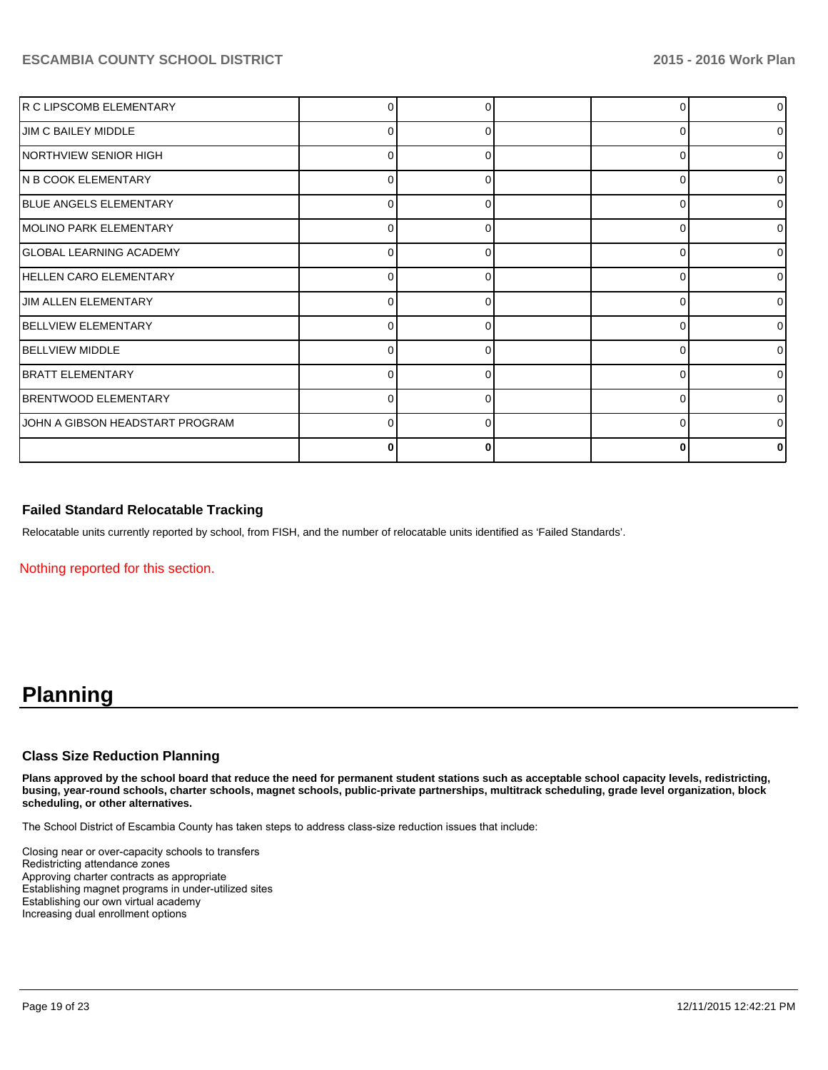| R C LIPSCOMB ELEMENTARY          |          |              |   | $\overline{0}$ |
|----------------------------------|----------|--------------|---|----------------|
| <b>JIM C BAILEY MIDDLE</b>       |          |              |   | ΩI             |
| NORTHVIEW SENIOR HIGH            | 0        | 0            |   | $\overline{0}$ |
| N B COOK ELEMENTARY              | n        | ŋ            |   | $\overline{0}$ |
| <b>BLUE ANGELS ELEMENTARY</b>    | 0        | 0            |   | $\overline{0}$ |
| MOLINO PARK ELEMENTARY           | n        | ŋ            | C | $\overline{0}$ |
| <b>GLOBAL LEARNING ACADEMY</b>   | 0        | 0            | C | $\overline{0}$ |
| HELLEN CARO ELEMENTARY           | $\Omega$ | <sup>0</sup> | ∩ | $\overline{0}$ |
| JIM ALLEN ELEMENTARY             | 0        |              | C | $\overline{0}$ |
| <b>BELLVIEW ELEMENTARY</b>       | 0        | ŋ            | ∩ | $\overline{0}$ |
| <b>IBELLVIEW MIDDLE</b>          | n        |              |   | $\overline{0}$ |
| <b>BRATT ELEMENTARY</b>          | 0        | ŋ            | C | $\Omega$       |
| <b>BRENTWOOD ELEMENTARY</b>      |          |              |   | ΩI             |
| JJOHN A GIBSON HEADSTART PROGRAM | 0        | ŋ            | C | ΩI             |
|                                  | 0        |              |   |                |

# **Failed Standard Relocatable Tracking**

Relocatable units currently reported by school, from FISH, and the number of relocatable units identified as 'Failed Standards'.

Nothing reported for this section.

# **Planning**

## **Class Size Reduction Planning**

**Plans approved by the school board that reduce the need for permanent student stations such as acceptable school capacity levels, redistricting, busing, year-round schools, charter schools, magnet schools, public-private partnerships, multitrack scheduling, grade level organization, block scheduling, or other alternatives.**

The School District of Escambia County has taken steps to address class-size reduction issues that include:

Closing near or over-capacity schools to transfers Redistricting attendance zones Approving charter contracts as appropriate Establishing magnet programs in under-utilized sites Establishing our own virtual academy Increasing dual enrollment options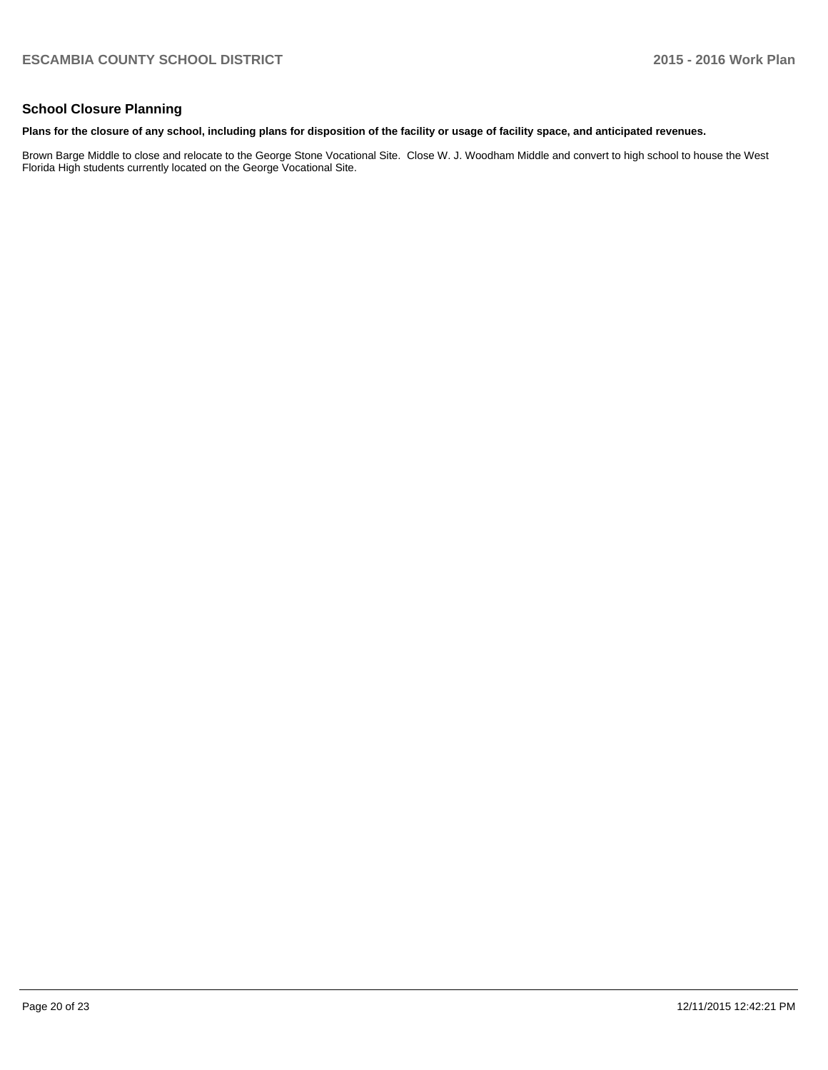# **School Closure Planning**

#### **Plans for the closure of any school, including plans for disposition of the facility or usage of facility space, and anticipated revenues.**

Brown Barge Middle to close and relocate to the George Stone Vocational Site. Close W. J. Woodham Middle and convert to high school to house the West Florida High students currently located on the George Vocational Site.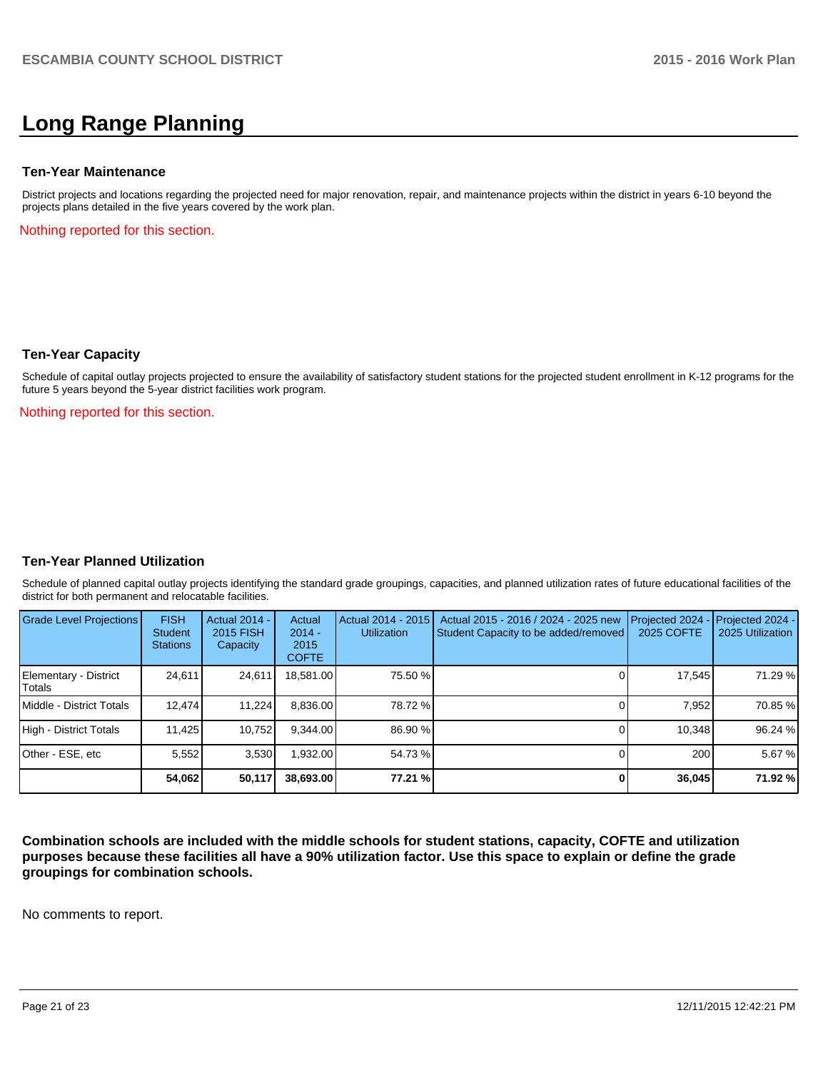# **Long Range Planning**

#### **Ten-Year Maintenance**

District projects and locations regarding the projected need for major renovation, repair, and maintenance projects within the district in years 6-10 beyond the projects plans detailed in the five years covered by the work plan.

Nothing reported for this section.

### **Ten-Year Capacity**

Schedule of capital outlay projects projected to ensure the availability of satisfactory student stations for the projected student enrollment in K-12 programs for the future 5 years beyond the 5-year district facilities work program.

Nothing reported for this section.

## **Ten-Year Planned Utilization**

Schedule of planned capital outlay projects identifying the standard grade groupings, capacities, and planned utilization rates of future educational facilities of the district for both permanent and relocatable facilities.

| Grade Level Projections         | <b>FISH</b><br>Student<br><b>Stations</b> | <b>Actual 2014 -</b><br>2015 FISH<br>Capacity | Actual<br>$2014 -$<br>2015<br><b>COFTE</b> | Actual 2014 - 2015<br><b>Utilization</b> | Actual 2015 - 2016 / 2024 - 2025 new<br>Student Capacity to be added/removed | Projected 2024<br>2025 COFTE | <b>Projected 2024 -</b><br>2025 Utilization |
|---------------------------------|-------------------------------------------|-----------------------------------------------|--------------------------------------------|------------------------------------------|------------------------------------------------------------------------------|------------------------------|---------------------------------------------|
| Elementary - District<br>Totals | 24,611                                    | 24,611                                        | 18,581.00                                  | 75.50 %                                  |                                                                              | 17,545                       | 71.29 %                                     |
| Middle - District Totals        | 12.474                                    | 11.224                                        | 8,836.00                                   | 78.72 %                                  |                                                                              | 7.952                        | 70.85 %                                     |
| High - District Totals          | 11.425                                    | 10.752                                        | 9.344.00                                   | 86.90 %                                  |                                                                              | 10.348                       | 96.24 %                                     |
| Other - ESE, etc                | 5.552                                     | 3,530                                         | .932.00                                    | 54.73 %                                  |                                                                              | 200                          | 5.67 %                                      |
|                                 | 54.062                                    | 50.117                                        | 38.693.00                                  | 77.21 %                                  |                                                                              | 36,045                       | 71.92 %                                     |

**Combination schools are included with the middle schools for student stations, capacity, COFTE and utilization purposes because these facilities all have a 90% utilization factor. Use this space to explain or define the grade groupings for combination schools.**

No comments to report.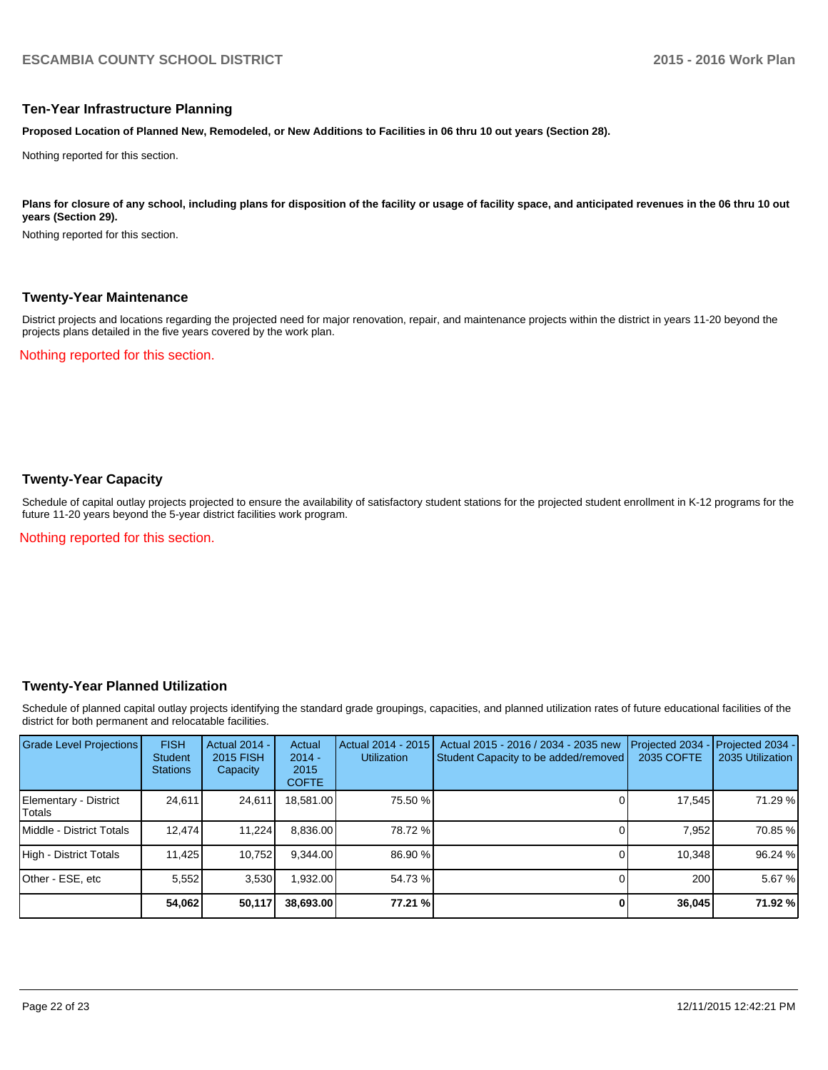### **Ten-Year Infrastructure Planning**

**Proposed Location of Planned New, Remodeled, or New Additions to Facilities in 06 thru 10 out years (Section 28).**

Nothing reported for this section.

Plans for closure of any school, including plans for disposition of the facility or usage of facility space, and anticipated revenues in the 06 thru 10 out **years (Section 29).**

Nothing reported for this section.

### **Twenty-Year Maintenance**

District projects and locations regarding the projected need for major renovation, repair, and maintenance projects within the district in years 11-20 beyond the projects plans detailed in the five years covered by the work plan.

Nothing reported for this section.

# **Twenty-Year Capacity**

Schedule of capital outlay projects projected to ensure the availability of satisfactory student stations for the projected student enrollment in K-12 programs for the future 11-20 years beyond the 5-year district facilities work program.

Nothing reported for this section.

## **Twenty-Year Planned Utilization**

Schedule of planned capital outlay projects identifying the standard grade groupings, capacities, and planned utilization rates of future educational facilities of the district for both permanent and relocatable facilities.

| <b>Grade Level Projections</b>   | <b>FISH</b><br><b>Student</b><br><b>Stations</b> | <b>Actual 2014 -</b><br>2015 FISH<br>Capacity | Actual<br>$2014 -$<br>2015<br><b>COFTE</b> | Actual 2014 - 2015<br><b>Utilization</b> | Actual 2015 - 2016 / 2034 - 2035 new<br>Student Capacity to be added/removed | Projected 2034<br>2035 COFTE | Projected 2034 -<br>2035 Utilization |
|----------------------------------|--------------------------------------------------|-----------------------------------------------|--------------------------------------------|------------------------------------------|------------------------------------------------------------------------------|------------------------------|--------------------------------------|
| Elementary - District<br> Totals | 24.611                                           | 24,611                                        | 18,581.00                                  | 75.50 %                                  |                                                                              | 17,545                       | 71.29 %                              |
| Middle - District Totals         | 12.474                                           | 11.224                                        | 8,836.00                                   | 78.72 %                                  |                                                                              | 7.952                        | 70.85 %                              |
| High - District Totals           | 11.425                                           | 10,752                                        | 9.344.00                                   | 86.90 %                                  |                                                                              | 10,348                       | 96.24 %                              |
| Other - ESE, etc                 | 5,552                                            | 3,530                                         | 932.00                                     | 54.73 %                                  |                                                                              | 200                          | 5.67 %                               |
|                                  | 54,062                                           | 50,117                                        | 38,693.00                                  | 77.21 %                                  |                                                                              | 36,045                       | 71.92 %                              |